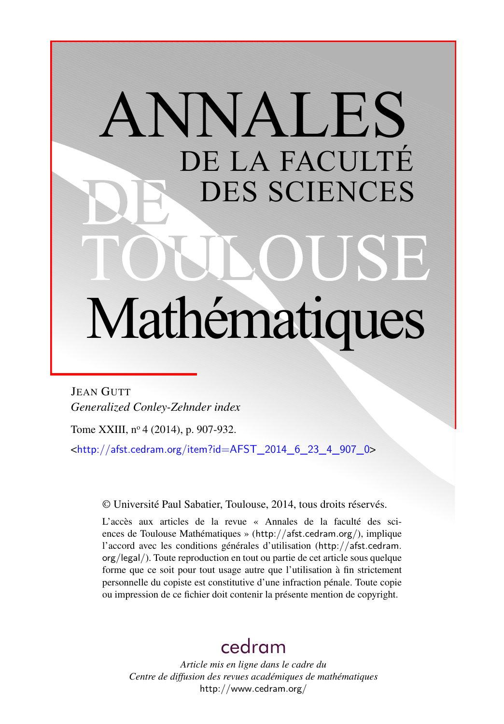# ANNALES DE LA FACULTÉ DES SCIENCES Mathématiques

JEAN GUTT *Generalized Conley-Zehnder index*

Tome XXIII, nº 4 (2014), p. 907-932.

 $\text{chttp:}/\text{/afst.cedram.org/item?id=AFST}$  2014 6 23 4 907 0>

© Université Paul Sabatier, Toulouse, 2014, tous droits réservés.

L'accès aux articles de la revue « Annales de la faculté des sciences de Toulouse Mathématiques » (<http://afst.cedram.org/>), implique l'accord avec les conditions générales d'utilisation ([http://afst.cedram.](http://afst.cedram.org/legal/) [org/legal/](http://afst.cedram.org/legal/)). Toute reproduction en tout ou partie de cet article sous quelque forme que ce soit pour tout usage autre que l'utilisation à fin strictement personnelle du copiste est constitutive d'une infraction pénale. Toute copie ou impression de ce fichier doit contenir la présente mention de copyright.

# [cedram](http://www.cedram.org/)

*Article mis en ligne dans le cadre du Centre de diffusion des revues académiques de mathématiques* <http://www.cedram.org/>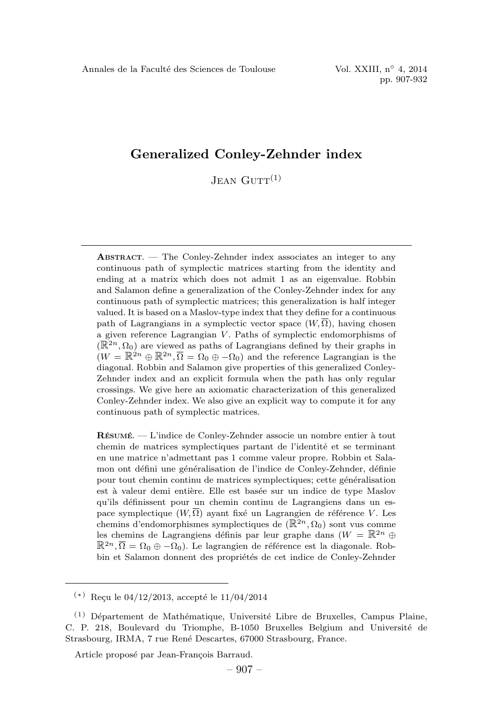# Generalized Conley-Zehnder index

 $J_{EAN}$   $G_{UTT}(1)$ 

ABSTRACT. —The Conley-Zehnder index associates an integer to any continuous path of symplectic matrices starting from the identity and ending at a matrix which does not admit 1 as an eigenvalue. Robbin and Salamon define a generalization of the Conley-Zehnder index for any continuous path of symplectic matrices; this generalization is half integer valued. It is based on a Maslov-type index that they define for a continuous path of Lagrangians in a symplectic vector space  $(W,\overline{\Omega})$ , having chosen a given reference Lagrangian V. Paths of symplectic endomorphisms of  $(\mathbb{R}^{2n}, \Omega_0)$  are viewed as paths of Lagrangians defined by their graphs in  $(W = \mathbb{R}^{2n} \oplus \mathbb{R}^{2n}, \overline{\Omega} = \Omega_0 \oplus -\Omega_0$  and the reference Lagrangian is the diagonal. Robbin and Salamon give properties of this generalized Conley-Zehnder index and an explicit formula when the path has only regular crossings. We give here an axiomatic characterization of this generalized Conley-Zehnder index. We also give an explicit way to compute it for any continuous path of symplectic matrices.

 $R$ ÉSUMÉ. — L'indice de Conley-Zehnder associe un nombre entier à tout chemin de matrices symplectiques partant de l'identité et se terminant en une matrice n'admettant pas 1 comme valeur propre. Robbin et Salamon ont défini une généralisation de l'indice de Conley-Zehnder, définie pour tout chemin continu de matrices symplectiques; cette généralisation est à valeur demi entière. Elle est basée sur un indice de type Maslov qu'ils définissent pour un chemin continu de Lagrangiens dans un espace symplectique  $(W, \overline{\Omega})$  ayant fixé un Lagrangien de référence V. Les chemins d'endomorphismes symplectiques de  $(\mathbb{R}^{2n}, \Omega_0)$  sont vus comme les chemins de Lagrangiens définis par leur graphe dans ( $W = \mathbb{R}^{2n} \oplus$  $\mathbb{R}^{2n}, \overline{\Omega}=\Omega_0 \oplus -\Omega_0$ . Le lagrangien de référence est la diagonale. Robbin et Salamon donnent des propriétés de cet indice de Conley-Zehnder

 $(*)$  Reçu le 04/12/2013, accepté le 11/04/2014

 $(1)$  Département de Mathématique, Université Libre de Bruxelles, Campus Plaine, C. P. 218, Boulevard du Triomphe, B-1050 Bruxelles Belgium and Université de Strasbourg, IRMA, 7 rue René Descartes, 67000 Strasbourg, France.

Article proposé par Jean-François Barraud.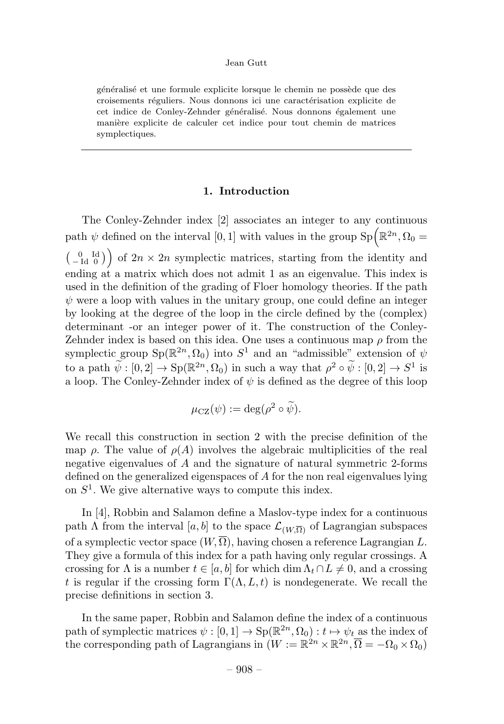généralisé et une formule explicite lorsque le chemin ne possède que des croisements réguliers. Nous donnons ici une caractérisation explicite de cet indice de Conley-Zehnder généralisé. Nous donnons également une manière explicite de calculer cet indice pour tout chemin de matrices symplectiques.

# 1. Introduction

The Conley-Zehnder index [2] associates an integer to any continuous path  $\psi$  defined on the interval [0, 1] with values in the group  $Sp(\mathbb{R}^{2n}, \Omega_0 =$  $\begin{pmatrix} 0 & \mathrm{Id} \\ -\mathrm{Id} & 0 \end{pmatrix}$  of  $2n \times 2n$  symplectic matrices, starting from the identity and ending at a matrix which does not admit 1 as an eigenvalue. This index is used in the definition of the grading of Floer homology theories. If the path  $\psi$  were a loop with values in the unitary group, one could define an integer by looking at the degree of the loop in the circle defined by the (complex) determinant -or an integer power of it. The construction of the Conley-Zehnder index is based on this idea. One uses a continuous map  $\rho$  from the symplectic group  $Sp(\mathbb{R}^{2n}, \Omega_0)$  into  $S^1$  and an "admissible" extension of  $\psi$ to a path  $\tilde{\psi}: [0, 2] \to Sp(\mathbb{R}^{2n}, \Omega_0)$  in such a way that  $\rho^2 \circ \tilde{\psi}: [0, 2] \to S^1$  is a loop. The Conley-Zehnder index of  $\psi$  is defined as the degree of this loop

$$
\mu_{\text{CZ}}(\psi) := \deg(\rho^2 \circ \widetilde{\psi}).
$$

We recall this construction in section 2 with the precise definition of the map  $\rho$ . The value of  $\rho(A)$  involves the algebraic multiplicities of the real negative eigenvalues of  $A$  and the signature of natural symmetric 2-forms defined on the generalized eigenspaces of  $A$  for the non real eigenvalues lying on  $S<sup>1</sup>$ . We give alternative ways to compute this index.

In [4], Robbin and Salamon define a Maslov-type index for a continuous path  $\Lambda$  from the interval [a, b] to the space  $\mathcal{L}_{(W,\overline{\Omega})}$  of Lagrangian subspaces of a symplectic vector space  $(W,\overline{\Omega})$ , having chosen a reference Lagrangian L. They give a formula of this index for a path having only regular crossings. A crossing for  $\Lambda$  is a number  $t \in [a, b]$  for which dim  $\Lambda_t \cap L \neq 0$ , and a crossing t is regular if the crossing form  $\Gamma(\Lambda, L, t)$  is nondegenerate. We recall the precise definitions in section 3.

In the same paper, Robbin and Salamon define the index of a continuous path of symplectic matrices  $\psi : [0, 1] \to \text{Sp}(\mathbb{R}^{2n}, \Omega_0) : t \mapsto \psi_t$  as the index of the corresponding path of Lagrangians in  $(W := \mathbb{R}^{2n} \times \mathbb{R}^{2n}, \overline{\Omega} = -\Omega_0 \times \Omega_0$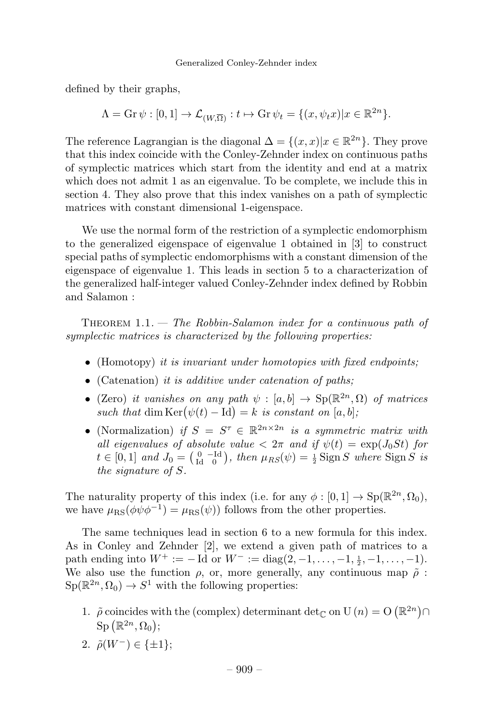defined by their graphs,

$$
\Lambda = \mathrm{Gr} \, \psi : [0, 1] \to \mathcal{L}_{(W, \overline{\Omega})} : t \mapsto \mathrm{Gr} \, \psi_t = \{ (x, \psi_t x) | x \in \mathbb{R}^{2n} \}.
$$

The reference Lagrangian is the diagonal  $\Delta = \{(x, x)|x \in \mathbb{R}^{2n}\}\.$  They prove that this index coincide with the Conley-Zehnder index on continuous paths of symplectic matrices which start from the identity and end at a matrix which does not admit 1 as an eigenvalue. To be complete, we include this in section 4. They also prove that this index vanishes on a path of symplectic matrices with constant dimensional 1-eigenspace.

We use the normal form of the restriction of a symplectic endomorphism to the generalized eigenspace of eigenvalue 1 obtained in [3] to construct special paths of symplectic endomorphisms with a constant dimension of the eigenspace of eigenvalue 1. This leads in section 5 to a characterization of the generalized half-integer valued Conley-Zehnder index defined by Robbin and Salamon :

THEOREM  $1.1.$  — The Robbin-Salamon index for a continuous path of symplectic matrices is characterized by the following properties:

- $\bullet$  (Homotopy) it is invariant under homotopies with fixed endpoints;
- (Catenation) it is additive under catenation of paths;
- (Zero) it vanishes on any path  $\psi : [a, b] \to \text{Sp}(\mathbb{R}^{2n}, \Omega)$  of matrices such that  $\dim \text{Ker}(\psi(t) - \text{Id}) = k$  is constant on  $[a, b]$ ;
- (Normalization) if  $S = S^{\tau} \in \mathbb{R}^{2n \times 2n}$  is a symmetric matrix with all eigenvalues of absolute value  $\langle 2\pi \rangle$  and if  $\psi(t) = \exp(J_0 St)$  for  $t \in [0,1]$  and  $J_0 = \begin{pmatrix} 0 & -\text{Id} \\ \text{Id} & 0 \end{pmatrix}$ , then  $\mu_{RS}(\psi) = \frac{1}{2}$  Sign S where Sign S is the signature of S.

The naturality property of this index (i.e. for any  $\phi : [0,1] \to \text{Sp}(\mathbb{R}^{2n}, \Omega_0)$ , we have  $\mu_{\rm RS}(\phi \psi \phi^{-1}) = \mu_{\rm RS}(\psi)$  follows from the other properties.

The same techniques lead in section 6 to a new formula for this index. As in Conley and Zehnder [2], we extend a given path of matrices to a path ending into  $W^+ := - \text{Id}$  or  $W^- := \text{diag}(2, -1, \ldots, -1, \frac{1}{2}, -1, \ldots, -1)$ . We also use the function  $\rho$ , or, more generally, any continuous map  $\tilde{\rho}$ :  $Sp(\mathbb{R}^{2n}, \Omega_0) \to S^1$  with the following properties:

- 1.  $\tilde{\rho}$  coincides with the (complex) determinant det<sub> $\mathbb{C}$ </sub> on U  $(n) = O\left(\mathbb{R}^{2n}\right) \cap$  $\text{Sp}(\mathbb{R}^{2n},\Omega_0);$
- 2.  $\tilde{\rho}(W^-) \in {\{\pm 1\}};$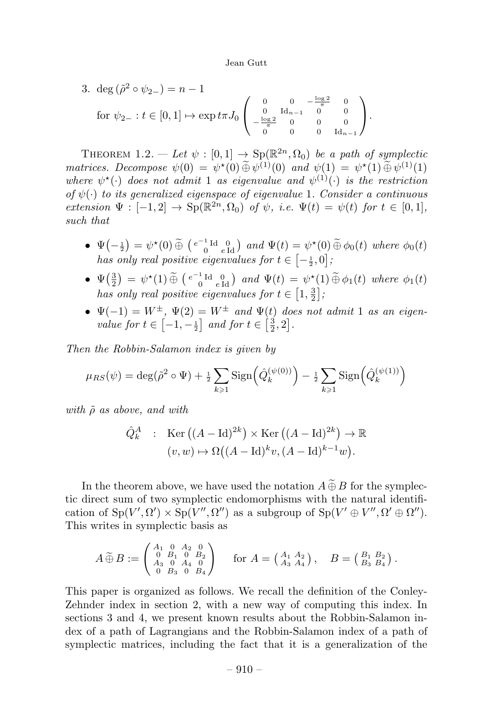3. deg 
$$
(\tilde{\rho}^2 \circ \psi_{2-}) = n - 1
$$
  
for  $\psi_{2-} : t \in [0, 1] \mapsto \exp t \pi J_0 \begin{pmatrix} 0 & 0 & -\frac{\log 2}{\pi} & 0 \\ 0 & \operatorname{Id}_{n-1} & 0 & 0 \\ -\frac{\log 2}{\pi} & 0 & 0 & 0 \\ 0 & 0 & 0 & \operatorname{Id}_{n-1} \end{pmatrix}$ .

THEOREM 1.2. — Let  $\psi : [0,1] \to \text{Sp}(\mathbb{R}^{2n},\Omega_0)$  be a path of symplectic matrices. Decompose  $\psi(0) = \psi^{\star}(0) \tilde{\oplus} \psi^{(1)}(0)$  and  $\psi(1) = \psi^{\star}(1) \tilde{\oplus} \psi^{(1)}(1)$ where  $\psi^*(\cdot)$  does not admit 1 as eigenvalue and  $\psi^{(1)}(\cdot)$  is the restriction of  $\psi(\cdot)$  to its generalized eigenspace of eigenvalue 1. Consider a continuous extension  $\Psi: [-1, 2] \to \text{Sp}(\mathbb{R}^{2n}, \Omega_0)$  of  $\psi$ , i.e.  $\Psi(t) = \psi(t)$  for  $t \in [0, 1]$ , such that

- $\Psi(-\frac{1}{2}) = \psi^*(0) \widetilde{\oplus} \left( \begin{smallmatrix} e^{-1} \text{Id} & 0 \\ 0 & e \text{Id} \end{smallmatrix} \right)$  and  $\Psi(t) = \psi^*(0) \widetilde{\oplus} \phi_0(t)$  where  $\phi_0(t)$ has only real positive eigenvalues for  $t \in \left[-\frac{1}{2},0\right]$ ;
- $\Psi\left(\frac{3}{2}\right) = \psi^{\star}(1) \widetilde{\oplus} \left( \begin{smallmatrix} e^{-1} \operatorname{Id} & 0 \\ 0 & e \operatorname{Id} \end{smallmatrix} \right)$  and  $\Psi(t) = \psi^{\star}(1) \widetilde{\oplus} \phi_1(t)$  where  $\phi_1(t)$ has only real positive eigenvalues for  $t \in [1, \frac{3}{2}]$ ;
- $\Psi(-1) = W^{\pm}$ ,  $\Psi(2) = W^{\pm}$  and  $\Psi(t)$  does not admit 1 as an eigenvalue for  $t \in \left[-1, -\frac{1}{2}\right]$  and for  $t \in \left[\frac{3}{2}, 2\right]$ .

Then the Robbin-Salamon index is given by

$$
\mu_{RS}(\psi) = \deg(\tilde{\rho}^2 \circ \Psi) + \frac{1}{2} \sum_{k \ge 1} \text{Sign}\left(\hat{Q}_k^{(\psi(0))}\right) - \frac{1}{2} \sum_{k \ge 1} \text{Sign}\left(\hat{Q}_k^{(\psi(1))}\right)
$$

with  $\tilde{\rho}$  as above, and with

$$
\hat{Q}_k^A : \operatorname{Ker} ((A - \operatorname{Id})^{2k}) \times \operatorname{Ker} ((A - \operatorname{Id})^{2k}) \to \mathbb{R}
$$

$$
(v, w) \mapsto \Omega((A - \operatorname{Id})^{k} v, (A - \operatorname{Id})^{k-1} w).
$$

In the theorem above, we have used the notation  $A \oplus B$  for the symplectic direct sum of two symplectic endomorphisms with the natural identification of  $Sp(V', \Omega') \times Sp(V'', \Omega'')$  as a subgroup of  $Sp(V' \oplus V'', \Omega' \oplus \Omega'')$ . This writes in symplectic basis as

$$
A \widetilde{\oplus} B := \begin{pmatrix} A_1 & 0 & A_2 & 0 \\ 0 & B_1 & 0 & B_2 \\ A_3 & 0 & A_4 & 0 \\ 0 & B_3 & 0 & B_4 \end{pmatrix} \text{ for } A = \begin{pmatrix} A_1 & A_2 \\ A_3 & A_4 \end{pmatrix}, \quad B = \begin{pmatrix} B_1 & B_2 \\ B_3 & B_4 \end{pmatrix}.
$$

This paper is organized as follows. We recall the definition of the Conley-Zehnder index in section 2, with a new way of computing this index. In sections 3 and 4, we present known results about the Robbin-Salamon index of a path of Lagrangians and the Robbin-Salamon index of a path of symplectic matrices, including the fact that it is a generalization of the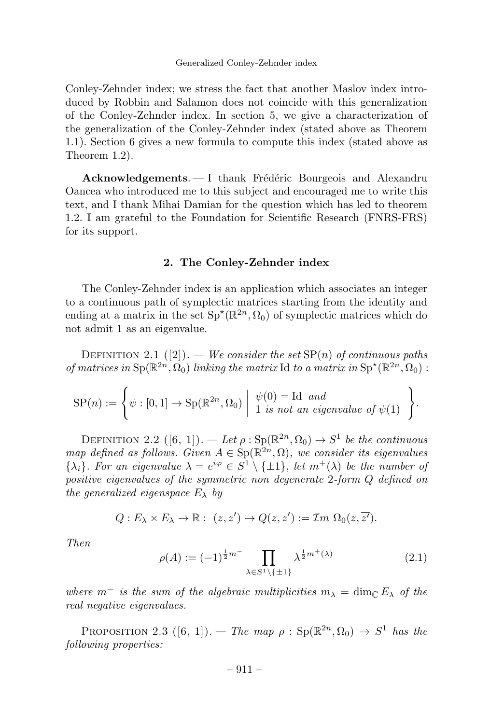#### Generalized Conley-Zehnder index

Conley-Zehnder index; we stress the fact that another Maslov index introduced by Robbin and Salamon does not coincide with this generalization of the Conley-Zehnder index. In section 5, we give a characterization of the generalization of the Conley-Zehnder index (stated above as Theorem 1.1). Section 6 gives a new formula to compute this index (stated above as Theorem 1.2).

Acknowledgements.  $- I$  thank Frédéric Bourgeois and Alexandru Oancea who introduced me to this subject and encouraged me to write this text, and I thank Mihai Damian for the question which has led to theorem 1.2. I am grateful to the Foundation for Scientific Research (FNRS-FRS) for its support.

#### 2. The Conley-Zehnder index

The Conley-Zehnder index is an application which associates an integer to a continuous path of symplectic matrices starting from the identity and ending at a matrix in the set  $Sp^{\star}(\mathbb{R}^{2n}, \Omega_0)$  of symplectic matrices which do not admit 1 as an eigenvalue.

DEFINITION 2.1 ([2]). — We consider the set  $SP(n)$  of continuous paths of matrices in  $\text{Sp}(\mathbb{R}^{2n}, \Omega_0)$  linking the matrix Id to a matrix in  $\text{Sp}^{\star}(\mathbb{R}^{2n}, \Omega_0)$ :

$$
SP(n) := \left\{ \psi : [0,1] \to Sp(\mathbb{R}^{2n}, \Omega_0) \middle| \begin{array}{l} \psi(0) = \text{Id} \text{ and} \\ 1 \text{ is not an eigenvalue of } \psi(1) \end{array} \right\}.
$$

DEFINITION 2.2  $([6, 1])$ . — Let  $\rho : \text{Sp}(\mathbb{R}^{2n}, \Omega_0) \to S^1$  be the continuous map defined as follows. Given  $A \in Sp(\mathbb{R}^{2n}, \Omega)$ , we consider its eigenvalues  $\{\lambda_i\}$ . For an eigenvalue  $\lambda = e^{i\varphi} \in S^1 \setminus \{\pm 1\}$ , let  $m^+(\lambda)$  be the number of positive eigenvalues of the symmetric non degenerate 2-form Q defined on the generalized eigenspace  $E_{\lambda}$  by

$$
Q: E_{\lambda} \times E_{\lambda} \to \mathbb{R}: (z, z') \mapsto Q(z, z') := \mathcal{I}m \ \Omega_0(z, \overline{z'}).
$$

Then

$$
\rho(A) := (-1)^{\frac{1}{2}m^{-}} \prod_{\lambda \in S^1 \setminus \{\pm 1\}} \lambda^{\frac{1}{2}m^{+}(\lambda)} \tag{2.1}
$$

where  $m^-$  is the sum of the algebraic multiplicities  $m_{\lambda} = \dim_{\mathbb{C}} E_{\lambda}$  of the real negative eigenvalues.

PROPOSITION 2.3 ([6, 1]). — The map  $\rho : Sp(\mathbb{R}^{2n}, \Omega_0) \to S^1$  has the following properties: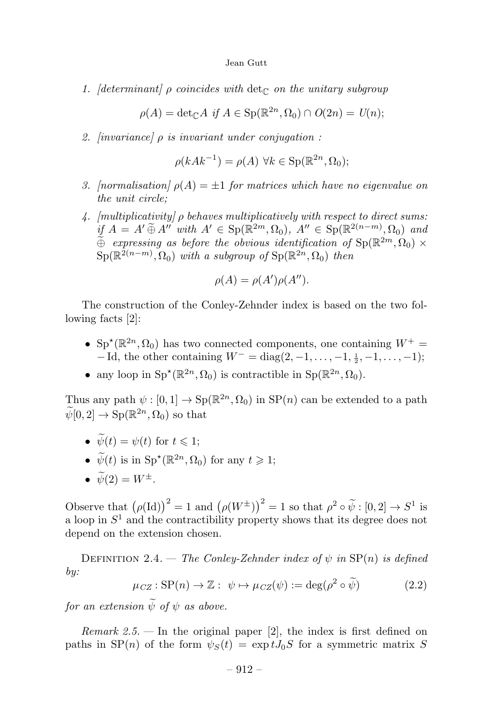1. *[determinant]*  $\rho$  coincides with det<sub>c</sub> on the unitary subgroup

 $\rho(A) = \det_{\mathbb{C}} A$  if  $A \in \text{Sp}(\mathbb{R}^{2n}, \Omega_0) \cap O(2n) = U(n)$ ;

2. [invariance]  $\rho$  is invariant under conjugation :

$$
\rho(kAk^{-1}) = \rho(A) \,\,\forall k \in \text{Sp}(\mathbb{R}^{2n}, \Omega_0);
$$

- 3. [normalisation]  $\rho(A) = \pm 1$  for matrices which have no eigenvalue on the unit circle;
- 4. [multiplicativity]  $\rho$  behaves multiplicatively with respect to direct sums:  $\iint_{\mathcal{L}} A = A' \widetilde{\oplus} A''$  with  $A' \in \text{Sp}(\mathbb{R}^{2m}, \Omega_0)$ ,  $A'' \in \text{Sp}(\mathbb{R}^{2(n-m)}, \Omega_0)$  and  $\tilde{\oplus}$  expressing as before the obvious identification of  $Sp(\mathbb{R}^{2m}, \Omega_0) \times$  $\mathrm{Sp}(\mathbb{R}^{2(n-m)},\Omega_0)$  with a subgroup of  $\mathrm{Sp}(\mathbb{R}^{2n},\Omega_0)$  then

$$
\rho(A) = \rho(A')\rho(A'').
$$

The construction of the Conley-Zehnder index is based on the two following facts [2]:

- $Sp^{\star}(\mathbb{R}^{2n}, \Omega_0)$  has two connected components, one containing  $W^+$  =  $-$ Id, the other containing  $W^- = diag(2, -1, \ldots, -1, \frac{1}{2}, -1, \ldots, -1);$
- any loop in  $\text{Sp}^{\star}(\mathbb{R}^{2n}, \Omega_0)$  is contractible in  $\text{Sp}(\mathbb{R}^{2n}, \Omega_0)$ .

Thus any path  $\psi : [0,1] \to \text{Sp}(\mathbb{R}^{2n}, \Omega_0)$  in  $\text{SP}(n)$  can be extended to a path  $\widetilde{\psi}[0,2] \to \text{Sp}(\mathbb{R}^{2n},\Omega_0)$  so that

- $\psi(t) = \psi(t)$  for  $t \leq 1$ ;
- $\widetilde{\psi}(t)$  is in  $\text{Sp}^{\star}(\mathbb{R}^{2n}, \Omega_0)$  for any  $t \geq 1$ ;
- $\widetilde{\psi}(2) = W^{\pm}$ .

Observe that  $(\rho(\mathrm{Id}))^2 = 1$  and  $(\rho(W^{\pm}))^2 = 1$  so that  $\rho^2 \circ \tilde{\psi} : [0, 2] \to S^1$  is a loop in  $S^1$  and the contractibility property shows that its degree does not depend on the extension chosen.

DEFINITION 2.4. — The Conley-Zehnder index of  $\psi$  in  $SP(n)$  is defined by:

$$
\mu_{CZ} : \text{SP}(n) \to \mathbb{Z} : \psi \mapsto \mu_{CZ}(\psi) := \text{deg}(\rho^2 \circ \widetilde{\psi}) \tag{2.2}
$$

for an extension  $\widetilde{\psi}$  of  $\psi$  as above.

*Remark 2.5.* — In the original paper [2], the index is first defined on paths in  $SP(n)$  of the form  $\psi_S(t) = \exp tJ_0S$  for a symmetric matrix S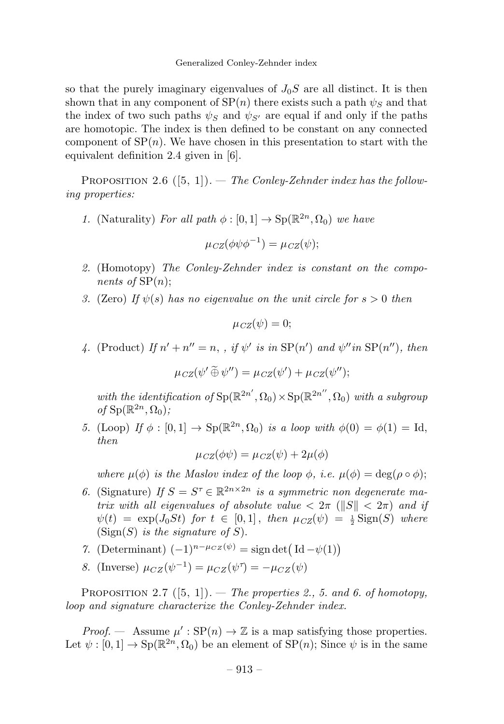so that the purely imaginary eigenvalues of  $J_0S$  are all distinct. It is then shown that in any component of  $SP(n)$  there exists such a path  $\psi_S$  and that the index of two such paths  $\psi_S$  and  $\psi_{S'}$  are equal if and only if the paths are homotopic. The index is then defined to be constant on any connected component of  $SP(n)$ . We have chosen in this presentation to start with the equivalent definition 2.4 given in [6].

PROPOSITION 2.6  $([5, 1])$ . — The Conley-Zehnder index has the following properties:

1. (Naturality) For all path  $\phi : [0, 1] \to \text{Sp}(\mathbb{R}^{2n}, \Omega_0)$  we have

$$
\mu_{CZ}(\phi\psi\phi^{-1}) = \mu_{CZ}(\psi);
$$

- 2. (Homotopy) The Conley-Zehnder index is constant on the components of  $SP(n)$ ;
- 3. (Zero) If  $\psi(s)$  has no eigenvalue on the unit circle for  $s > 0$  then

$$
\mu_{CZ}(\psi)=0;
$$

4. (Product) If  $n' + n'' = n$ , , if  $\psi'$  is in  $SP(n')$  and  $\psi''$  in  $SP(n'')$ , then

 $\mu_{CZ}(\psi' \oplus \psi'') = \mu_{CZ}(\psi') + \mu_{CZ}(\psi'');$ 

with the identification of  $\text{Sp}(\mathbb{R}^{2n'}, \Omega_0) \times \text{Sp}(\mathbb{R}^{2n''}, \Omega_0)$  with a subgroup of  $Sp(\mathbb{R}^{2n},\Omega_0);$ 

5. (Loop) If  $\phi : [0,1] \rightarrow Sp(\mathbb{R}^{2n}, \Omega_0)$  is a loop with  $\phi(0) = \phi(1) = \text{Id}$ , then

$$
\mu_{CZ}(\phi\psi) = \mu_{CZ}(\psi) + 2\mu(\phi)
$$

where  $\mu(\phi)$  is the Maslov index of the loop  $\phi$ , i.e.  $\mu(\phi) = \deg(\rho \circ \phi)$ ;

- 6. (Signature) If  $S = S^{\tau} \in \mathbb{R}^{2n \times 2n}$  is a symmetric non degenerate matrix with all eigenvalues of absolute value  $\langle 2\pi |S| \langle 2\pi |S| \rangle$  $\psi(t) = \exp(J_0 St)$  for  $t \in [0,1]$ , then  $\mu_{CZ}(\psi) = \frac{1}{2} \text{Sign}(S)$  where (Sign(S) is the signature of S).
- 7. (Determinant)  $(-1)^{n-\mu_{CZ}(\psi)} = \text{sign} \det (\text{Id} \psi(1))$
- 8. (Inverse)  $\mu_{CZ}(\psi^{-1}) = \mu_{CZ}(\psi^{\tau}) = -\mu_{CZ}(\psi)$

PROPOSITION 2.7  $([5, 1])$ . - The properties 2., 5. and 6. of homotopy, loop and signature characterize the Conley-Zehnder index.

*Proof.* — Assume  $\mu': SP(n) \to \mathbb{Z}$  is a map satisfying those properties. Let  $\psi : [0, 1] \to \text{Sp}(\mathbb{R}^{2n}, \Omega_0)$  be an element of  $\text{SP}(n)$ ; Since  $\psi$  is in the same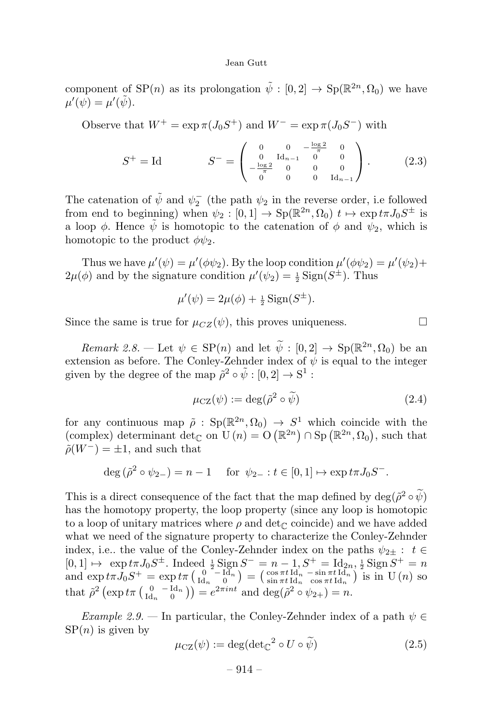component of SP(n) as its prolongation  $\tilde{\psi} : [0, 2] \to Sp(\mathbb{R}^{2n}, \Omega_0)$  we have  $\mu'(\psi) = \mu'(\tilde{\psi}).$ 

Observe that  $W^+ = \exp \pi (J_0 S^+)$  and  $W^- = \exp \pi (J_0 S^-)$  with

$$
S^{+} = \text{Id} \qquad S^{-} = \begin{pmatrix} 0 & 0 & -\frac{\log 2}{\pi} & 0 \\ 0 & \text{Id}_{n-1} & 0 & 0 \\ -\frac{\log 2}{\pi} & 0 & 0 & 0 \\ 0 & 0 & 0 & \text{Id}_{n-1} \end{pmatrix} . \tag{2.3}
$$

The catenation of  $\tilde{\psi}$  and  $\psi_2^-$  (the path  $\psi_2$  in the reverse order, i.e followed from end to beginning) when  $\psi_2 : [0,1] \to \text{Sp}(\mathbb{R}^{2n},\Omega_0)$   $t \mapsto \exp t \pi J_0 S^{\pm}$  is a loop  $\phi$ . Hence  $\tilde{\psi}$  is homotopic to the catenation of  $\phi$  and  $\psi_2$ , which is homotopic to the product  $\phi\psi_2$ .

Thus we have  $\mu'(\psi) = \mu'(\phi \psi_2)$ . By the loop condition  $\mu'(\phi \psi_2) = \mu'(\psi_2) + \mu'(\psi_1)$  $2\mu(\phi)$  and by the signature condition  $\mu'(\psi_2) = \frac{1}{2} \operatorname{Sign}(S^{\pm})$ . Thus

$$
\mu'(\psi) = 2\mu(\phi) + \frac{1}{2}\operatorname{Sign}(S^{\pm}).
$$

Since the same is true for  $\mu_{CZ}(\psi)$ , this proves uniqueness.

Remark 2.8. — Let  $\psi \in \mathsf{SP}(n)$  and let  $\widetilde{\psi}: [0,2] \to \mathsf{Sp}(\mathbb{R}^{2n},\Omega_0)$  be an extension as before. The Conley-Zehnder index of  $\psi$  is equal to the integer given by the degree of the map  $\tilde{\rho}^2 \circ \tilde{\psi} : [0, 2] \to \mathbb{S}^1$ :

$$
\mu_{\text{CZ}}(\psi) := \text{deg}(\tilde{\rho}^2 \circ \tilde{\psi}) \tag{2.4}
$$

for any continuous map  $\tilde{\rho}$ : Sp( $\mathbb{R}^{2n}$ ,  $\Omega_0$ )  $\to S^1$  which coincide with the (complex) determinant  $\det_{\mathbb{C}}$  on  $U(n) = O(\mathbb{R}^{2n}) \cap Sp(\mathbb{R}^{2n}, \Omega_0)$ , such that  $\tilde{\rho}(W^-) = \pm 1$ , and such that

$$
\deg(\tilde{\rho}^2 \circ \psi_{2-}) = n - 1 \quad \text{for } \psi_{2-} : t \in [0, 1] \mapsto \exp t \pi J_0 S^-.
$$

This is a direct consequence of the fact that the map defined by  $\deg(\tilde{\rho}^2 \circ \tilde{\psi})$ has the homotopy property, the loop property (since any loop is homotopic to a loop of unitary matrices where  $\rho$  and det<sub>C</sub> coincide) and we have added what we need of the signature property to characterize the Conley-Zehnder index, i.e.. the value of the Conley-Zehnder index on the paths  $\psi_{2\pm}: t \in$  $[0,1] \mapsto \exp t\pi J_0 S^{\pm}$ . Indeed  $\frac{1}{2}$  Sign  $S^- = n-1$ ,  $S^+ = \text{Id}_{2n}, \frac{1}{2}$  Sign  $S^+ = n$ and  $\exp t\pi J_0 S^+ = \exp t\pi \left(\begin{smallmatrix} 0 & -\text{Id}_n \\ \text{Id}_n & 0 \end{smallmatrix}\right) = \left(\begin{smallmatrix} \cos \pi t \text{ Id}_n & -\sin \pi t \text{ Id}_n \\ \sin \pi t \text{ Id}_n & \cos \pi t \text{ Id}_n \end{smallmatrix}\right)$  is in U(n) so that  $\tilde{\rho}^2 \left( \exp t \pi \left( \frac{0}{\mathrm{Id}_n} - \frac{\mathrm{Id}_n}{0} \right) \right) = e^{2\pi i n t}$  and  $\deg(\tilde{\rho}^2 \circ \psi_{2+}) = n$ .

Example 2.9. — In particular, the Conley-Zehnder index of a path  $\psi \in$  $SP(n)$  is given by

$$
\mu_{\text{CZ}}(\psi) := \text{deg}(\text{det}_{\mathbb{C}}^2 \circ U \circ \widetilde{\psi}) \tag{2.5}
$$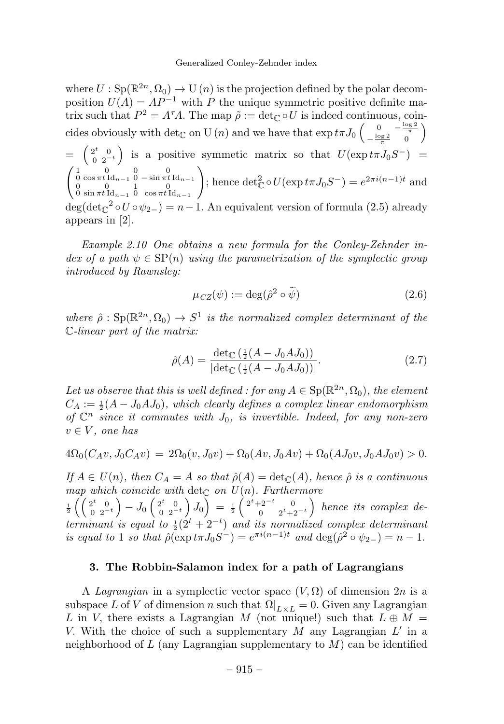where  $U : Sp(\mathbb{R}^{2n}, \Omega_0) \to U(n)$  is the projection defined by the polar decomposition  $U(A) = AP^{-1}$  with P the unique symmetric positive definite matrix such that  $P^2 = A^{\tau}A$ . The map  $\tilde{\rho} := \det_{\mathbb{C}} \circ U$  is indeed continuous, coincides obviously with  $\det_{\mathbb{C}}$  on U  $(n)$  and we have that  $\exp t\pi J_0 \begin{pmatrix} 0 & -\frac{\log 2}{\pi} \\ -\frac{\log 2}{\pi} & 0 \end{pmatrix}$  $\setminus$  $= \begin{pmatrix} 2^t & 0 \\ 0 & 2^{-t} \end{pmatrix}$ is a positive symmetic matrix so that  $U(\exp t\pi J_0S^-)$  =  $\left(\begin{matrix} 1 & 0 & 0 & 0 \\ 0 & \cos \pi t \, \text{Id}_{n-1} & 0 & -\sin \pi t \, \text{Id}_{n-1} \\ 0 & 0 & 1 & 0 \\ 0 & \sin \pi t \, \text{Id}_{n-1} & 0 & \cos \pi t \, \text{Id}_{n-1} \end{matrix}\right)$  $\setminus$ ; hence  $\det_{\mathbb{C}}^2 \circ U(\exp t\pi J_0S^-) = e^{2\pi i(n-1)t}$  and  $deg(det_{\mathbb{C}}^2 \circ U \circ \psi_{2-}) = n-1$ . An equivalent version of formula (2.5) already appears in [2].

Example 2.10 One obtains a new formula for the Conley-Zehnder index of a path  $\psi \in \text{SP}(n)$  using the parametrization of the symplectic group introduced by Rawnsley:

$$
\mu_{CZ}(\psi) := \deg(\hat{\rho}^2 \circ \tilde{\psi}) \tag{2.6}
$$

where  $\hat{\rho}: Sp(\mathbb{R}^{2n}, \Omega_0) \to S^1$  is the normalized complex determinant of the C-linear part of the matrix:

$$
\hat{\rho}(A) = \frac{\det_{\mathbb{C}}\left(\frac{1}{2}(A - J_0 A J_0)\right)}{|\det_{\mathbb{C}}\left(\frac{1}{2}(A - J_0 A J_0)\right)|}.\tag{2.7}
$$

Let us observe that this is well defined : for any  $A \in Sp(\mathbb{R}^{2n}, \Omega_0)$ , the element  $C_A := \frac{1}{2}(A - J_0 A J_0)$ , which clearly defines a complex linear endomorphism of  $\mathbb{C}^n$  since it commutes with  $J_0$ , is invertible. Indeed, for any non-zero  $v \in V$ , one has

$$
4\Omega_0(C_A v, J_0 C_A v) = 2\Omega_0(v, J_0 v) + \Omega_0(Av, J_0 A v) + \Omega_0(A J_0 v, J_0 A J_0 v) > 0.
$$

If  $A \in U(n)$ , then  $C_A = A$  so that  $\hat{\rho}(A) = \det_{\mathbb{C}}(A)$ , hence  $\hat{\rho}$  is a continuous map which coincide with  $\det_{\mathbb{C}}$  on  $U(n)$ . Furthermore

 $\frac{1}{2}$   $\left( \begin{array}{cc} 2^t & 0 \\ 0 & 2^{-t} \end{array} \right)$  $\Big) - J_0 \left( \begin{smallmatrix} 2^t & 0 \ 0 & 2^{-t} \end{smallmatrix} \right)$  $\left( \int_0^{\overline{1}} J_0 \right) = \frac{1}{2} \left( \begin{array}{cc} 2^t + 2^{-t} & 0 \\ 0 & 2^t + 1 \end{array} \right)$ 0  $2^t+2^{-t}$  hence its complex determinant is equal to  $\frac{1}{2}(2^t + 2^{-t})$  and its normalized complex determinant is equal to 1 so that  $\rho(\exp t\pi J_0S^{-}) = e^{\pi i(n-1)t}$  and  $\deg(\rho^2 \circ \psi_{2-}) = n-1$ .

#### 3. The Robbin-Salamon index for a path of Lagrangians

A Lagrangian in a symplectic vector space  $(V, \Omega)$  of dimension  $2n$  is a subspace L of V of dimension n such that  $\Omega|_{L\times L} = 0$ . Given any Lagrangian L in V, there exists a Lagrangian M (not unique!) such that  $L \oplus M =$ V. With the choice of such a supplementary M any Lagrangian  $L'$  in a neighborhood of  $L$  (any Lagrangian supplementary to  $M$ ) can be identified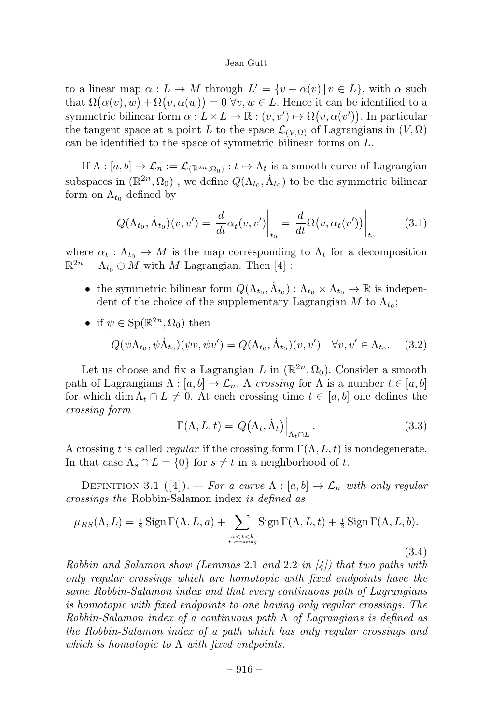to a linear map  $\alpha: L \to M$  through  $L' = \{v + \alpha(v) \mid v \in L\}$ , with  $\alpha$  such that  $\Omega(\alpha(v), w) + \Omega(v, \alpha(w)) = 0$   $\forall v, w \in L$ . Hence it can be identified to a symmetric bilinear form  $\underline{\alpha}: L \times L \to \mathbb{R} : (v, v') \mapsto \Omega(v, \alpha(v'))$ . In particular the tangent space at a point L to the space  $\mathcal{L}_{(V,\Omega)}$  of Lagrangians in  $(V,\Omega)$ can be identified to the space of symmetric bilinear forms on L.

If  $\Lambda : [a, b] \to \mathcal{L}_n := \mathcal{L}_{(\mathbb{R}^{2n}, \Omega_0)} : t \mapsto \Lambda_t$  is a smooth curve of Lagrangian subspaces in  $(\mathbb{R}^{2n}, \Omega_0)$ , we define  $Q(\Lambda_{t_0}, \dot{\Lambda}_{t_0})$  to be the symmetric bilinear form on  $\Lambda_{t_0}$  defined by

$$
Q(\Lambda_{t_0}, \dot{\Lambda}_{t_0})(v, v') = \left. \frac{d}{dt} \underline{\alpha}_t(v, v') \right|_{t_0} = \left. \frac{d}{dt} \Omega(v, \alpha_t(v')) \right|_{t_0}
$$
(3.1)

where  $\alpha_t : \Lambda_{t_0} \to M$  is the map corresponding to  $\Lambda_t$  for a decomposition  $\mathbb{R}^{2n} = \Lambda_{t_0} \oplus M$  with M Lagrangian. Then [4] :

- the symmetric bilinear form  $Q(\Lambda_{t_0}, \Lambda_{t_0}) : \Lambda_{t_0} \times \Lambda_{t_0} \to \mathbb{R}$  is independent of the choice of the supplementary Lagrangian M to  $\Lambda_{t_0}$ ;
- if  $\psi \in \mathrm{Sp}(\mathbb{R}^{2n}, \Omega_0)$  then

$$
Q(\psi\Lambda_{t_0},\psi\dot{\Lambda}_{t_0})(\psi v,\psi v') = Q(\Lambda_{t_0},\dot{\Lambda}_{t_0})(v,v') \quad \forall v, v' \in \Lambda_{t_0}.\tag{3.2}
$$

Let us choose and fix a Lagrangian L in  $(\mathbb{R}^{2n}, \Omega_0)$ . Consider a smooth path of Lagrangians  $\Lambda : [a, b] \to \mathcal{L}_n$ . A crossing for  $\Lambda$  is a number  $t \in [a, b]$ for which dim  $\Lambda_t \cap L \neq 0$ . At each crossing time  $t \in [a, b]$  one defines the crossing form

$$
\Gamma(\Lambda, L, t) = Q(\Lambda_t, \dot{\Lambda}_t) \Big|_{\Lambda_t \cap L}.
$$
\n(3.3)

A crossing t is called regular if the crossing form  $\Gamma(\Lambda, L, t)$  is nondegenerate. In that case  $\Lambda_s \cap L = \{0\}$  for  $s \neq t$  in a neighborhood of t.

DEFINITION 3.1 ([4]). — For a curve  $\Lambda : [a, b] \to \mathcal{L}_n$  with only regular crossings the Robbin-Salamon index is defined as

$$
\mu_{RS}(\Lambda, L) = \frac{1}{2} \operatorname{Sign} \Gamma(\Lambda, L, a) + \sum_{\substack{a < t < b \\ t \text{ crossing}}} \operatorname{Sign} \Gamma(\Lambda, L, t) + \frac{1}{2} \operatorname{Sign} \Gamma(\Lambda, L, b). \tag{3.4}
$$

Robbin and Salamon show (Lemmas 2.1 and 2.2 in  $\mathcal{A}$ ) that two paths with only regular crossings which are homotopic with fixed endpoints have the same Robbin-Salamon index and that every continuous path of Lagrangians is homotopic with fixed endpoints to one having only regular crossings. The Robbin-Salamon index of a continuous path  $\Lambda$  of Lagrangians is defined as the Robbin-Salamon index of a path which has only regular crossings and which is homotopic to  $\Lambda$  with fixed endpoints.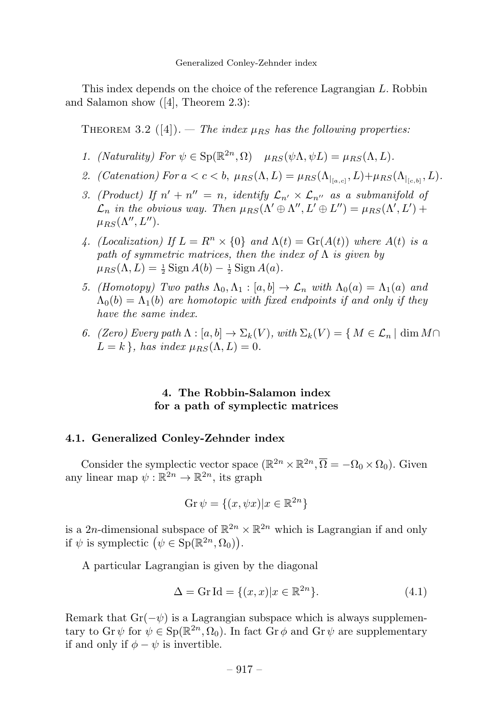This index depends on the choice of the reference Lagrangian L. Robbin and Salamon show ([4], Theorem 2.3):

THEOREM 3.2 ([4]). — The index  $\mu_{BS}$  has the following properties:

- 1. (Naturality) For  $\psi \in \mathrm{Sp}(\mathbb{R}^{2n}, \Omega)$   $\mu_{RS}(\psi \Lambda, \psi L) = \mu_{RS}(\Lambda, L)$ .
- 2. (Catenation) For  $a < c < b$ ,  $\mu_{RS}(\Lambda, L) = \mu_{RS}(\Lambda_{|_{[a,c]}}, L) + \mu_{RS}(\Lambda_{|_{[c,b]}}, L)$ .
- 3. (Product) If  $n' + n'' = n$ , identify  $\mathcal{L}_{n'} \times \mathcal{L}_{n''}$  as a submanifold of  $\mathcal{L}_n$  in the obvious way. Then  $\mu_{RS}(\Lambda' \oplus \Lambda'', L' \oplus L'') = \mu_{RS}(\Lambda', L') +$  $\mu_{RS}(\Lambda'', L'').$
- 4. (Localization) If  $L = R^n \times \{0\}$  and  $\Lambda(t) = \text{Gr}(A(t))$  where  $A(t)$  is a path of symmetric matrices, then the index of  $\Lambda$  is given by  $\mu_{RS}(\Lambda, L) = \frac{1}{2} \operatorname{Sign} A(b) - \frac{1}{2} \operatorname{Sign} A(a).$
- 5. (Homotopy) Two paths  $\Lambda_0, \Lambda_1 : [a, b] \to \mathcal{L}_n$  with  $\Lambda_0(a) = \Lambda_1(a)$  and  $\Lambda_0(b)=\Lambda_1(b)$  are homotopic with fixed endpoints if and only if they have the same index.
- 6. (Zero) Every path  $\Lambda : [a, b] \to \Sigma_k(V)$ , with  $\Sigma_k(V) = \{ M \in \mathcal{L}_n \mid \dim M \cap$  $L = k$ , has index  $\mu_{BS}(\Lambda, L) = 0$ .

# 4. The Robbin-Salamon index for a path of symplectic matrices

## 4.1. Generalized Conley-Zehnder index

Consider the symplectic vector space  $(\mathbb{R}^{2n} \times \mathbb{R}^{2n}, \overline{\Omega} = -\Omega_0 \times \Omega_0)$ . Given any linear map  $\psi: \mathbb{R}^{2n} \to \mathbb{R}^{2n}$ , its graph

$$
\operatorname{Gr} \psi = \{(x, \psi x) | x \in \mathbb{R}^{2n}\}
$$

is a 2n-dimensional subspace of  $\mathbb{R}^{2n} \times \mathbb{R}^{2n}$  which is Lagrangian if and only if  $\psi$  is symplectic  $(\psi \in \text{Sp}(\mathbb{R}^{2n}, \Omega_0)).$ 

A particular Lagrangian is given by the diagonal

$$
\Delta = \operatorname{Gr} \operatorname{Id} = \{ (x, x) | x \in \mathbb{R}^{2n} \}. \tag{4.1}
$$

Remark that  $Gr(-\psi)$  is a Lagrangian subspace which is always supplementary to Gr  $\psi$  for  $\psi \in \mathrm{Sp}(\mathbb{R}^{2n}, \Omega_0)$ . In fact Gr  $\phi$  and Gr  $\psi$  are supplementary if and only if  $\phi - \psi$  is invertible.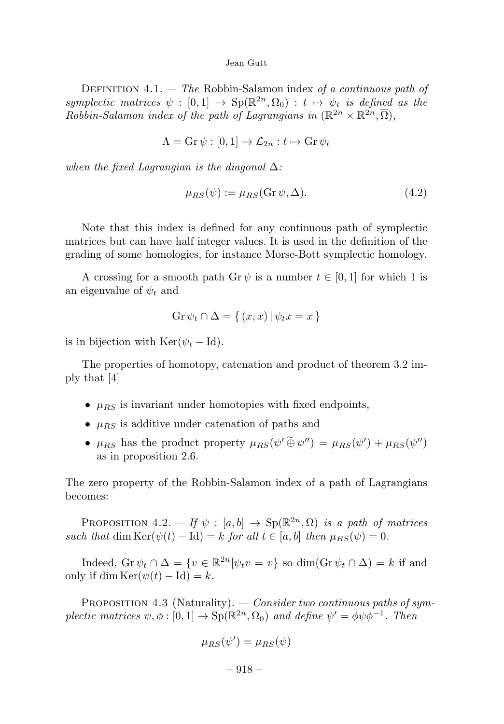DEFINITION  $4.1.$  — The Robbin-Salamon index of a continuous path of symplectic matrices  $\psi : [0,1] \to Sp(\mathbb{R}^{2n}, \Omega_0) : t \mapsto \psi_t$  is defined as the Robbin-Salamon index of the path of Lagrangians in  $(\mathbb{R}^{2n} \times \mathbb{R}^{2n}, \overline{\Omega})$ ,

$$
\Lambda = \mathrm{Gr}\,\psi : [0,1] \to \mathcal{L}_{2n} : t \mapsto \mathrm{Gr}\,\psi_t
$$

when the fixed Lagrangian is the diagonal  $\Delta$ :

$$
\mu_{RS}(\psi) := \mu_{RS}(\text{Gr}\,\psi,\Delta). \tag{4.2}
$$

Note that this index is defined for any continuous path of symplectic matrices but can have half integer values. It is used in the definition of the grading of some homologies, for instance Morse-Bott symplectic homology.

A crossing for a smooth path Gr  $\psi$  is a number  $t \in [0, 1]$  for which 1 is an eigenvalue of  $\psi_t$  and

$$
\operatorname{Gr}\psi_t \cap \Delta = \{ (x, x) \, | \, \psi_t x = x \}
$$

is in bijection with  $\text{Ker}(\psi_t - \text{Id}).$ 

The properties of homotopy, catenation and product of theorem 3.2 imply that [4]

- $\mu_{RS}$  is invariant under homotopies with fixed endpoints,
- $\mu_{RS}$  is additive under catenation of paths and
- $\mu_{RS}$  has the product property  $\mu_{RS}(\psi' \oplus \psi'') = \mu_{RS}(\psi') + \mu_{RS}(\psi'')$ as in proposition 2.6.

The zero property of the Robbin-Salamon index of a path of Lagrangians becomes:

PROPOSITION 4.2. — If  $\psi : [a, b] \rightarrow Sp(\mathbb{R}^{2n}, \Omega)$  is a path of matrices such that dim Ker( $\psi(t) - \text{Id}$ ) = k for all  $t \in [a, b]$  then  $\mu_{RS}(\psi) = 0$ .

Indeed,  $\operatorname{Gr} \psi_t \cap \Delta = \{v \in \mathbb{R}^{2n} | \psi_t v = v\}$  so  $\dim(\operatorname{Gr} \psi_t \cap \Delta) = k$  if and only if dim Ker( $\psi(t) - \text{Id}$ ) = k.

PROPOSITION 4.3 (Naturality). — Consider two continuous paths of symplectic matrices  $\psi, \phi : [0, 1] \to \text{Sp}(\mathbb{R}^{2n}, \Omega_0)$  and define  $\psi' = \phi \psi \phi^{-1}$ . Then

$$
\mu_{RS}(\psi') = \mu_{RS}(\psi)
$$

 $-918-$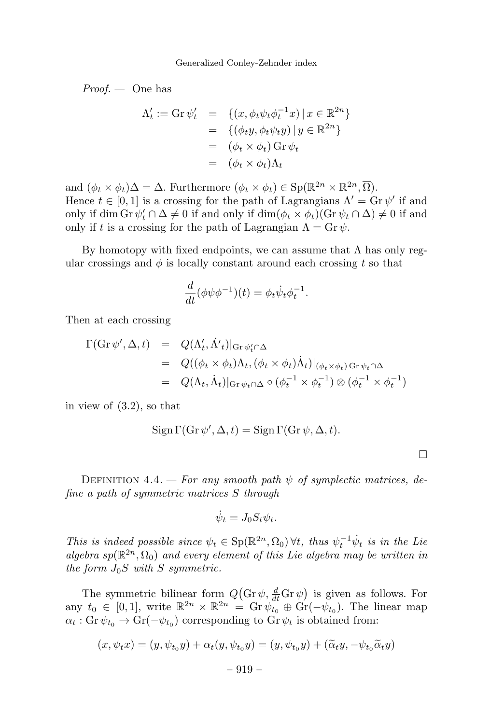$Proof.$  — One has

$$
\Lambda'_t := \text{Gr}\,\psi'_t \quad = \quad \{(x, \phi_t \psi_t \phi_t^{-1} x) \mid x \in \mathbb{R}^{2n}\}
$$
\n
$$
= \quad \{(\phi_t y, \phi_t \psi_t y) \mid y \in \mathbb{R}^{2n}\}
$$
\n
$$
= \quad (\phi_t \times \phi_t) \text{ Gr}\,\psi_t
$$
\n
$$
= \quad (\phi_t \times \phi_t) \Lambda_t
$$

and  $(\phi_t \times \phi_t) \Delta = \Delta$ . Furthermore  $(\phi_t \times \phi_t) \in \text{Sp}(\mathbb{R}^{2n} \times \mathbb{R}^{2n}, \overline{\Omega})$ . Hence  $t \in [0, 1]$  is a crossing for the path of Lagrangians  $\Lambda' = \text{Gr } \psi'$  if and only if dim Gr  $\psi'_t \cap \Delta \neq 0$  if and only if  $\dim(\phi_t \times \phi_t)(\text{Gr } \psi_t \cap \Delta) \neq 0$  if and only if t is a crossing for the path of Lagrangian  $\Lambda = \mathop{\rm Gr}\nolimits \psi$ .

By homotopy with fixed endpoints, we can assume that  $\Lambda$  has only regular crossings and  $\phi$  is locally constant around each crossing t so that

$$
\frac{d}{dt}(\phi\psi\phi^{-1})(t) = \phi_t\dot{\psi}_t\phi_t^{-1}.
$$

Then at each crossing

$$
\Gamma(\text{Gr}\,\psi',\Delta,t) = Q(\Lambda'_t, \dot{\Lambda'}_t)|_{\text{Gr}\,\psi'_t \cap \Delta}
$$
  
\n
$$
= Q((\phi_t \times \phi_t)\Lambda_t, (\phi_t \times \phi_t)\dot{\Lambda}_t)|_{(\phi_t \times \phi_t) \text{ Gr}\,\psi_t \cap \Delta}
$$
  
\n
$$
= Q(\Lambda_t, \dot{\Lambda}_t)|_{\text{Gr}\,\psi_t \cap \Delta} \circ (\phi_t^{-1} \times \phi_t^{-1}) \otimes (\phi_t^{-1} \times \phi_t^{-1})
$$

in view of (3.2), so that

$$
Sign \Gamma(Gr \psi', \Delta, t) = Sign \Gamma(Gr \psi, \Delta, t).
$$

 $\Box$ 

DEFINITION 4.4. — For any smooth path  $\psi$  of symplectic matrices, define a path of symmetric matrices S through

$$
\dot{\psi}_t = J_0 S_t \psi_t.
$$

This is indeed possible since  $\psi_t \in \mathrm{Sp}(\mathbb{R}^{2n}, \Omega_0)$   $\forall t$ , thus  $\psi_t^{-1} \psi_t$  is in the Lie algebra  $sp(\mathbb{R}^{2n}, \Omega_0)$  and every element of this Lie algebra may be written in the form  $J_0S$  with S symmetric.

The symmetric bilinear form  $Q(\text{Gr }\psi, \frac{d}{dt}\text{Gr }\psi)$  is given as follows. For any  $t_0 \in [0, 1]$ , write  $\mathbb{R}^{2n} \times \mathbb{R}^{2n} = \text{Gr} \psi_{t_0} \oplus \text{Gr}(-\psi_{t_0})$ . The linear map  $\alpha_t$ : Gr $\psi_{t_0} \to \text{Gr}(-\psi_{t_0})$  corresponding to Gr $\psi_t$  is obtained from:

$$
(x, \psi_t x) = (y, \psi_{t_0} y) + \alpha_t (y, \psi_{t_0} y) = (y, \psi_{t_0} y) + (\widetilde{\alpha}_t y, -\psi_{t_0} \widetilde{\alpha}_t y)
$$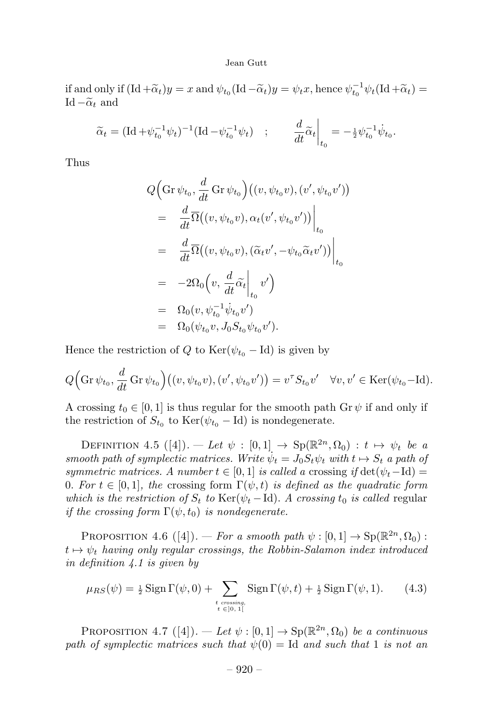if and only if  $(\mathrm{Id} + \widetilde{\alpha}_t)y = x$  and  $\psi_{t_0}(\mathrm{Id} - \widetilde{\alpha}_t)y = \psi_t x$ , hence  $\psi_{t_0}^{-1} \psi_t(\mathrm{Id} + \widetilde{\alpha}_t) =$ Id  $-\tilde{\alpha}_t$  and

$$
\widetilde{\alpha}_t = (\mathrm{Id} + \psi_{t_0}^{-1} \psi_t)^{-1} (\mathrm{Id} - \psi_{t_0}^{-1} \psi_t) \quad ; \qquad \frac{d}{dt} \widetilde{\alpha}_t \bigg|_{t_0} = -\tfrac{1}{2} \psi_{t_0}^{-1} \dot{\psi}_{t_0}.
$$

Thus

$$
Q\Big(\mathrm{Gr}\,\psi_{t_0},\frac{d}{dt}\,\mathrm{Gr}\,\psi_{t_0}\Big)\big((v,\psi_{t_0}v),(v',\psi_{t_0}v')\big)
$$
  
\n
$$
=\frac{d}{dt}\overline{\Omega}\big((v,\psi_{t_0}v),\alpha_t(v',\psi_{t_0}v')\big)\Big|_{t_0}
$$
  
\n
$$
=\frac{d}{dt}\overline{\Omega}\big((v,\psi_{t_0}v),(\widetilde{\alpha}_tv',-\psi_{t_0}\widetilde{\alpha}_tv')\big)\Big|_{t_0}
$$
  
\n
$$
=\frac{-2\Omega_0\Big(v,\frac{d}{dt}\widetilde{\alpha}_t\Big|_{t_0}v'\Big)}{\Omega_0(v,\psi_{t_0}^{-1}\psi_{t_0}v')}
$$
  
\n
$$
=\frac{\Omega_0(v,\psi_{t_0}^{-1}\psi_{t_0}v')}{\Omega_0(\psi_{t_0}v,J_0S_{t_0}\psi_{t_0}v').}
$$

Hence the restriction of Q to Ker( $\psi_{t_0}$  – Id) is given by

$$
Q\Big(\mathrm{Gr}\,\psi_{t_0},\frac{d}{dt}\,\mathrm{Gr}\,\psi_{t_0}\Big)\big((v,\psi_{t_0}v),(v',\psi_{t_0}v')\big)=v^\tau S_{t_0}v'\quad\forall v,v'\in\mathrm{Ker}(\psi_{t_0}-\mathrm{Id}).
$$

A crossing  $t_0 \in [0, 1]$  is thus regular for the smooth path  $\text{Gr } \psi$  if and only if the restriction of  $S_{t_0}$  to Ker( $\psi_{t_0}$  – Id) is nondegenerate.

DEFINITION 4.5  $([4])$ . — Let  $\psi : [0,1] \rightarrow Sp(\mathbb{R}^{2n}, \Omega_0) : t \mapsto \psi_t$  be a smooth path of symplectic matrices. Write  $\psi_t = J_0 S_t \psi_t$  with  $t \mapsto S_t$  a path of symmetric matrices. A number  $t \in [0, 1]$  is called a crossing if  $\det(\psi_t - \text{Id}) =$ 0. For  $t \in [0, 1]$ , the crossing form  $\Gamma(\psi, t)$  is defined as the quadratic form which is the restriction of  $S_t$  to  $\text{Ker}(\psi_t - \text{Id})$ . A crossing  $t_0$  is called regular if the crossing form  $\Gamma(\psi, t_0)$  is nondegenerate.

PROPOSITION 4.6  $([4])$ . — For a smooth path  $\psi : [0,1] \to \text{Sp}(\mathbb{R}^{2n}, \Omega_0)$ :  $t \mapsto \psi_t$  having only regular crossings, the Robbin-Salamon index introduced in definition 4.1 is given by

$$
\mu_{RS}(\psi) = \frac{1}{2} \operatorname{Sign} \Gamma(\psi, 0) + \sum_{\substack{t \text{ crossing,} \\ t \in [0, 1]}} \operatorname{Sign} \Gamma(\psi, t) + \frac{1}{2} \operatorname{Sign} \Gamma(\psi, 1). \tag{4.3}
$$

PROPOSITION 4.7 ([4]). — Let  $\psi : [0, 1] \to \text{Sp}(\mathbb{R}^{2n}, \Omega_0)$  be a continuous path of symplectic matrices such that  $\psi(0) = \text{Id}$  and such that 1 is not an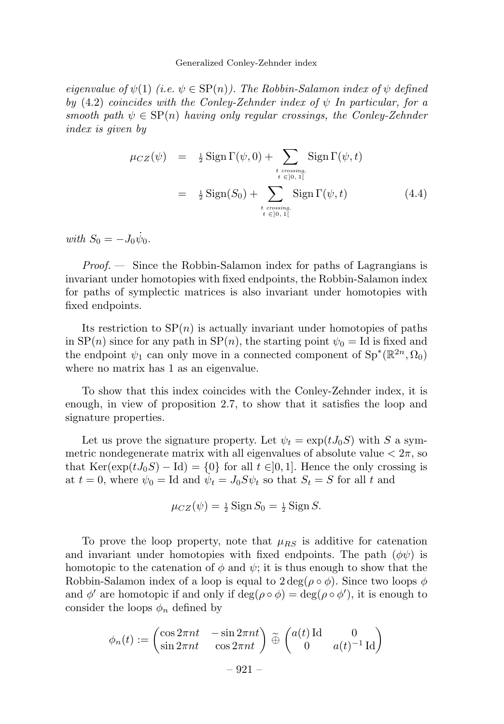#### Generalized Conley-Zehnder index

eigenvalue of  $\psi(1)$  (i.e.  $\psi \in \text{SP}(n)$ ). The Robbin-Salamon index of  $\psi$  defined by  $(4.2)$  coincides with the Conley-Zehnder index of  $\psi$  In particular, for a smooth path  $\psi \in \text{SP}(n)$  having only regular crossings, the Conley-Zehnder index is given by

$$
\mu_{CZ}(\psi) = \frac{1}{2} \operatorname{Sign} \Gamma(\psi, 0) + \sum_{\substack{t \text{ crossing,} \\ t \in ]0, 1[}} \operatorname{Sign} \Gamma(\psi, t)
$$

$$
= \frac{1}{2} \operatorname{Sign}(S_0) + \sum_{\substack{t \text{ crossing,} \\ t \in ]0, 1[}} \operatorname{Sign} \Gamma(\psi, t) \tag{4.4}
$$

with  $S_0 = -J_0 \dot{\psi}_0$ .

 $Proof.$  — Since the Robbin-Salamon index for paths of Lagrangians is invariant under homotopies with fixed endpoints, the Robbin-Salamon index for paths of symplectic matrices is also invariant under homotopies with fixed endpoints.

Its restriction to  $SP(n)$  is actually invariant under homotopies of paths in  $SP(n)$  since for any path in  $SP(n)$ , the starting point  $\psi_0 = Id$  is fixed and the endpoint  $\psi_1$  can only move in a connected component of  $\text{Sp}^*(\mathbb{R}^{2n}, \Omega_0)$ where no matrix has 1 as an eigenvalue.

To show that this index coincides with the Conley-Zehnder index, it is enough, in view of proposition 2.7, to show that it satisfies the loop and signature properties.

Let us prove the signature property. Let  $\psi_t = \exp(tJ_0S)$  with S a symmetric nondegenerate matrix with all eigenvalues of absolute value  $\langle 2\pi, \text{so} \rangle$ that  $\text{Ker}(\exp(tJ_0S) - \text{Id}) = \{0\}$  for all  $t \in ]0,1]$ . Hence the only crossing is at  $t = 0$ , where  $\psi_0 = \text{Id}$  and  $\dot{\psi}_t = J_0 S \psi_t$  so that  $S_t = S$  for all t and

$$
\mu_{CZ}(\psi) = \frac{1}{2}\operatorname{Sign} S_0 = \frac{1}{2}\operatorname{Sign} S.
$$

To prove the loop property, note that  $\mu_{RS}$  is additive for catenation and invariant under homotopies with fixed endpoints. The path  $(\phi\psi)$  is homotopic to the catenation of  $\phi$  and  $\psi$ ; it is thus enough to show that the Robbin-Salamon index of a loop is equal to  $2 \deg(\rho \circ \phi)$ . Since two loops  $\phi$ and  $\phi'$  are homotopic if and only if  $\deg(\rho \circ \phi) = \deg(\rho \circ \phi')$ , it is enough to consider the loops  $\phi_n$  defined by

$$
\phi_n(t) := \begin{pmatrix} \cos 2\pi nt & -\sin 2\pi nt \\ \sin 2\pi nt & \cos 2\pi nt \end{pmatrix} \widetilde{\oplus} \begin{pmatrix} a(t) \operatorname{Id} & 0 \\ 0 & a(t)^{-1} \operatorname{Id} \end{pmatrix}
$$

$$
-921 -
$$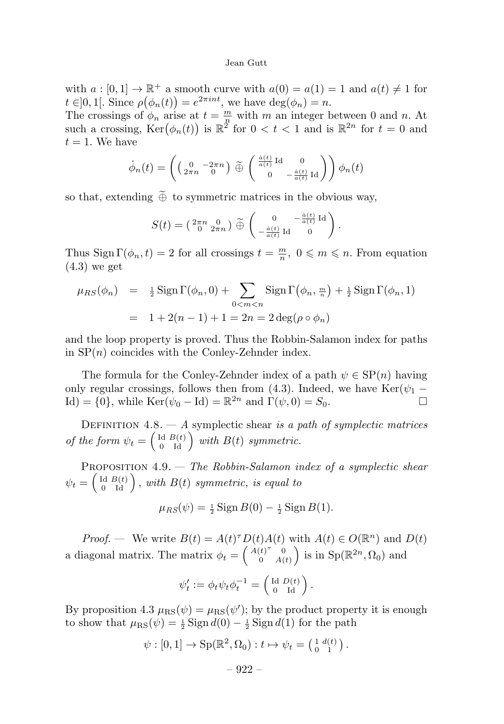with  $a:[0,1] \to \mathbb{R}^+$  a smooth curve with  $a(0) = a(1) = 1$  and  $a(t) \neq 1$  for  $t \in ]0,1[$ . Since  $\rho(\phi_n(t)) = e^{2\pi int}$ , we have  $\deg(\phi_n) = n$ .

The crossings of  $\phi_n$  arise at  $t = \frac{m}{n}$  with m an integer between 0 and n. At such a crossing,  $\text{Ker}(\phi_n(t))$  is  $\mathbb{R}^{2^k}$  for  $0 < t < 1$  and is  $\mathbb{R}^{2n}$  for  $t = 0$  and  $t = 1$ . We have

$$
\dot{\phi}_n(t) = \left( \begin{pmatrix} 0 & -2\pi n \\ 2\pi n & 0 \end{pmatrix} \widetilde{\oplus} \begin{pmatrix} \frac{\dot{a}(t)}{a(t)} \operatorname{Id} & 0 \\ 0 & -\frac{\dot{a}(t)}{a(t)} \operatorname{Id} \end{pmatrix} \right) \phi_n(t)
$$

so that, extending  $\widetilde{\oplus}$  to symmetric matrices in the obvious way,

$$
S(t) = \left(\begin{smallmatrix} 2\pi n & 0 \\ 0 & 2\pi n \end{smallmatrix}\right) \widetilde{\oplus} \left(\begin{smallmatrix} 0 & -\frac{\dot{a}(t)}{a(t)} \operatorname{Id} \\ -\frac{\dot{a}(t)}{a(t)} \operatorname{Id} & 0 \end{smallmatrix}\right).
$$

Thus Sign  $\Gamma(\phi_n, t) = 2$  for all crossings  $t = \frac{m}{n}$ ,  $0 \leq m \leq n$ . From equation  $(4.3)$  we get

$$
\mu_{RS}(\phi_n) = \frac{1}{2} \operatorname{Sign} \Gamma(\phi_n, 0) + \sum_{0 < m < n} \operatorname{Sign} \Gamma(\phi_n, \frac{m}{n}) + \frac{1}{2} \operatorname{Sign} \Gamma(\phi_n, 1)
$$
\n
$$
= 1 + 2(n - 1) + 1 = 2n = 2 \deg(\rho \circ \phi_n)
$$

and the loop property is proved. Thus the Robbin-Salamon index for paths in  $SP(n)$  coincides with the Conley-Zehnder index.

The formula for the Conley-Zehnder index of a path  $\psi \in \text{SP}(n)$  having only regular crossings, follows then from (4.3). Indeed, we have  $\text{Ker}(\psi_1 - \text{Id}) = \{0\}$  while  $\text{Ker}(\psi_0 - \text{Id}) = \mathbb{R}^{2n}$  and  $\Gamma(\psi_0, 0) = S_0$ Id) = {0}, while Ker( $\psi_0$  – Id) =  $\mathbb{R}^{2n}$  and  $\Gamma(\psi, 0) = S_0$ .

DEFINITION  $4.8. - A$  symplectic shear is a path of symplectic matrices of the form  $\psi_t = \begin{pmatrix} \operatorname{Id} & B(t) \\ 0 & \operatorname{Id} \end{pmatrix}$  with  $B(t)$  symmetric.

PROPOSITION  $4.9.$  — The Robbin-Salamon index of a symplectic shear  $\psi_t = \left(\begin{smallmatrix} \text{Id} & B(t)\ 0 & \text{Id} \end{smallmatrix}\right)$ , with  $B(t)$  symmetric, is equal to

$$
\mu_{RS}(\psi) = \frac{1}{2}\operatorname{Sign} B(0) - \frac{1}{2}\operatorname{Sign} B(1).
$$

*Proof.* — We write  $B(t) = A(t)^{\tau} D(t) A(t)$  with  $A(t) \in O(\mathbb{R}^n)$  and  $D(t)$ a diagonal matrix. The matrix  $\phi_t = \begin{pmatrix} A(t)^\tau & 0 \\ 0 & A(t) \end{pmatrix}$  $0 \quad A(t)$ ) is in  $Sp(\mathbb{R}^{2n}, \Omega_0)$  and

$$
\psi_t':=\phi_t\psi_t\phi_t^{-1}=\left(\begin{smallmatrix}\mathrm{Id}&D(t)\\0&\mathrm{Id}\end{smallmatrix}\right).
$$

By proposition 4.3  $\mu_{\rm RS}(\psi) = \mu_{\rm RS}(\psi')$ ; by the product property it is enough to show that  $\mu_{\rm RS}(\psi) = \frac{1}{2} \operatorname{Sign} d(0) - \frac{1}{2} \operatorname{Sign} d(1)$  for the path

$$
\psi : [0,1] \to \mathrm{Sp}(\mathbb{R}^2, \Omega_0) : t \mapsto \psi_t = \left(\begin{smallmatrix} 1 & d(t) \\ 0 & 1 \end{smallmatrix}\right).
$$

$$
-922-
$$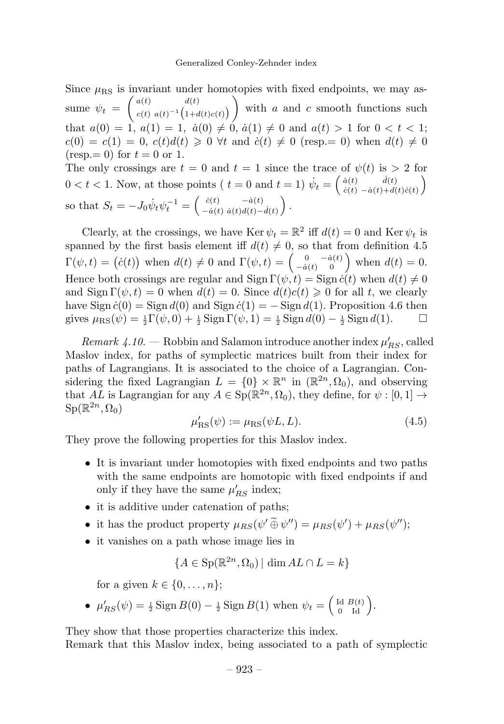Since  $\mu_{RS}$  is invariant under homotopies with fixed endpoints, we may assume  $\psi_t =$  $\int a(t)$   $d(t)$  $c(t) a(t)^{-1} (1+d(t)c(t))$  $\setminus$ with  $a$  and  $c$  smooth functions such that  $a(0) = 1$ ,  $a(1) = 1$ ,  $\dot{a}(0) \neq 0$ ,  $\dot{a}(1) \neq 0$  and  $a(t) > 1$  for  $0 < t < 1$ ;  $c(0) = c(1) = 0$ ,  $c(t)d(t) \geq 0 \forall t$  and  $\dot{c}(t) \neq 0$  (resp. = 0) when  $d(t) \neq 0$  $(resp. = 0)$  for  $t = 0$  or 1.

The only crossings are  $t = 0$  and  $t = 1$  since the trace of  $\psi(t)$  is  $> 2$  for  $0 < t < 1$ . Now, at those points ( $t = 0$  and  $t = 1$ )  $\dot{\psi}_t = \begin{pmatrix} \dot{a}(t) & \dot{d}(t) \\ \dot{c}(t) & -\dot{a}(t) + d(t) \end{pmatrix}$  $\dot{c}(t) - \dot{a}(t) + d(t)\dot{c}(t)$  $\setminus$ so that  $S_t = -J_0 \dot{\psi}_t \psi_t^{-1} = \begin{pmatrix} \dot{c}(t) & -\dot{a}(t) \\ -\dot{a}(t) & \dot{a}(t) d(t) - \dot{d}(t) \end{pmatrix}$  $\big).$ 

Clearly, at the crossings, we have Ker  $\psi_t = \mathbb{R}^2$  iff  $d(t) = 0$  and Ker  $\psi_t$  is spanned by the first basis element iff  $d(t) \neq 0$ , so that from definition 4.5  $\Gamma(\psi, t) = (\dot{c}(t))$  when  $d(t) \neq 0$  and  $\Gamma(\psi, t) = \begin{pmatrix} 0 & -\dot{a}(t) \\ -\dot{a}(t) & 0 \end{pmatrix}$  when  $d(t) = 0$ . Hence both crossings are regular and  $\text{Sign }\Gamma(\psi, t) = \text{Sign } \dot{c}(t)$  when  $d(t) \neq 0$ and  $\text{Sign } \Gamma(\psi, t) = 0$  when  $d(t) = 0$ . Since  $d(t)c(t) \geq 0$  for all t, we clearly have  $\text{Sign } \dot{c}(0) = \text{Sign } d(0)$  and  $\text{Sign } \dot{c}(1) = -\text{Sign } d(1)$ . Proposition 4.6 then<br>gives  $\mu_{\text{BS}}(\psi) = \frac{1}{4} \Gamma(\psi, 0) + \frac{1}{4} \text{Sign } \Gamma(\psi, 1) = \frac{1}{4} \text{Sign } d(0) - \frac{1}{4} \text{Sign } d(1)$ . gives  $\mu_{\rm RS}(\psi) = \frac{1}{2}\Gamma(\psi, 0) + \frac{1}{2}\text{Sign}\,\Gamma(\psi, 1) = \frac{1}{2}\text{Sign}\,d(0) - \frac{1}{2}\text{Sign}\,d(1).$   $\Box$ 

Remark  $4.10.$  – Robbin and Salamon introduce another index  $\mu'_{RS}$ , called Maslov index, for paths of symplectic matrices built from their index for paths of Lagrangians. It is associated to the choice of a Lagrangian. Considering the fixed Lagrangian  $L = \{0\} \times \mathbb{R}^n$  in  $(\mathbb{R}^{2n}, \Omega_0)$ , and observing that AL is Lagrangian for any  $A \in \text{Sp}(\mathbb{R}^{2n}, \Omega_0)$ , they define, for  $\psi : [0, 1] \to$  $\text{Sp}(\mathbb{R}^{2n},\Omega_0)$ 

$$
\mu'_{\rm RS}(\psi) := \mu_{\rm RS}(\psi L, L). \tag{4.5}
$$

They prove the following properties for this Maslov index.

- It is invariant under homotopies with fixed endpoints and two paths with the same endpoints are homotopic with fixed endpoints if and only if they have the same  $\mu'_{RS}$  index;
- it is additive under catenation of paths;
- it has the product property  $\mu_{RS}(\psi' \oplus \psi'') = \mu_{RS}(\psi') + \mu_{RS}(\psi'')$ ;
- it vanishes on a path whose image lies in

$$
\{A \in \text{Sp}(\mathbb{R}^{2n}, \Omega_0) \mid \dim AL \cap L = k\}
$$

for a given  $k \in \{0, \ldots, n\}$ ;

•  $\mu'_{RS}(\psi) = \frac{1}{2} \operatorname{Sign} B(0) - \frac{1}{2} \operatorname{Sign} B(1)$  when  $\psi_t = \begin{pmatrix} \text{Id} & B(t) \\ 0 & \text{Id} \end{pmatrix}$ .

They show that those properties characterize this index.

Remark that this Maslov index, being associated to a path of symplectic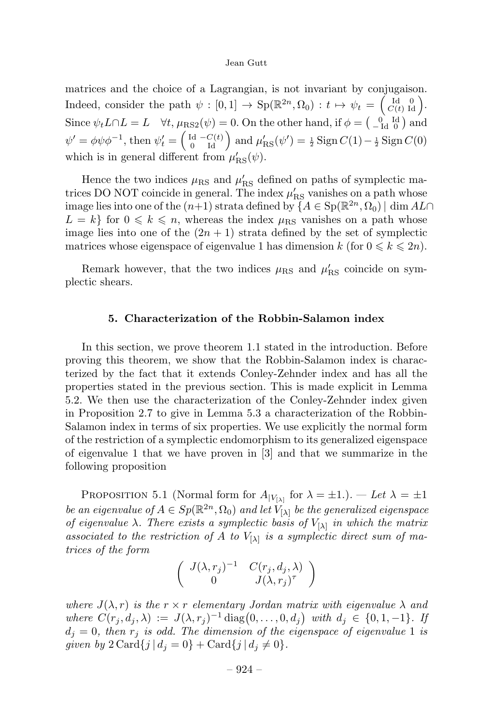matrices and the choice of a Lagrangian, is not invariant by conjugaison. Indeed, consider the path  $\psi : [0,1] \to \mathrm{Sp}(\mathbb{R}^{2n}, \Omega_0) : t \mapsto \psi_t = \begin{pmatrix} \mathrm{Id} & 0 \\ C(t) & \mathrm{Id} \end{pmatrix}$ . Since  $\psi_t L \cap L = L \quad \forall t, \mu_{\text{RS2}}(\psi) = 0.$  On the other hand, if  $\phi = \begin{pmatrix} 0 & \text{Id} \\ -\text{Id} & 0 \end{pmatrix}$  and  $\psi' = \phi \psi \phi^{-1}$ , then  $\psi'_t = \begin{pmatrix} \mathrm{Id} & -C(t) \\ 0 & \mathrm{Id} \end{pmatrix}$  and  $\mu'_{\mathrm{RS}}(\psi') = \frac{1}{2} \mathrm{Sign} C(1) - \frac{1}{2} \mathrm{Sign} C(0)$ which is in general different from  $\mu'_{\rm RS}(\psi)$ .

Hence the two indices  $\mu_{\rm RS}$  and  $\mu'_{\rm RS}$  defined on paths of symplectic matrices DO NOT coincide in general. The index  $\mu'_{\rm RS}$  vanishes on a path whose image lies into one of the  $(n+1)$  strata defined by  $\{A \in Sp(\mathbb{R}^{2n}, \Omega_0) \mid \dim AL\cap\}$  $L = k$  for  $0 \le k \le n$ , whereas the index  $\mu_{RS}$  vanishes on a path whose image lies into one of the  $(2n + 1)$  strata defined by the set of symplectic matrices whose eigenspace of eigenvalue 1 has dimension  $k$  (for  $0 \leq k \leq 2n$ ).

Remark however, that the two indices  $\mu_{RS}$  and  $\mu'_{RS}$  coincide on symplectic shears.

# 5. Characterization of the Robbin-Salamon index

In this section, we prove theorem 1.1 stated in the introduction. Before proving this theorem, we show that the Robbin-Salamon index is characterized by the fact that it extends Conley-Zehnder index and has all the properties stated in the previous section. This is made explicit in Lemma 5.2. We then use the characterization of the Conley-Zehnder index given in Proposition 2.7 to give in Lemma 5.3 a characterization of the Robbin-Salamon index in terms of six properties. We use explicitly the normal form of the restriction of a symplectic endomorphism to its generalized eigenspace of eigenvalue 1 that we have proven in  $[3]$  and that we summarize in the following proposition

PROPOSITION 5.1 (Normal form for  $A_{|V_{[\lambda]}}$  for  $\lambda = \pm 1$ .). — Let  $\lambda = \pm 1$ be an eigenvalue of  $A \in Sp(\mathbb{R}^{2n}, \Omega_0)$  and let  $V_{[\lambda]}$  be the generalized eigenspace of eigenvalue  $\lambda$ . There exists a symplectic basis of  $V_{[\lambda]}$  in which the matrix associated to the restriction of A to  $V_{[\lambda]}$  is a symplectic direct sum of matrices of the form

$$
\left(\begin{array}{cc}J(\lambda,r_j)^{-1} & C(r_j,d_j,\lambda)\\0&J(\lambda,r_j)^{\tau}\end{array}\right)
$$

where  $J(\lambda, r)$  is the  $r \times r$  elementary Jordan matrix with eigenvalue  $\lambda$  and where  $C(r_j, d_j, \lambda) := J(\lambda, r_j)^{-1} \text{diag}(0, \ldots, 0, d_j)$  with  $d_j \in \{0, 1, -1\}$ . If  $d_j = 0$ , then  $r_j$  is odd. The dimension of the eigenspace of eigenvalue 1 is given by  $2 \text{Card}\{j | d_j = 0\} + \text{Card}\{j | d_j \neq 0\}.$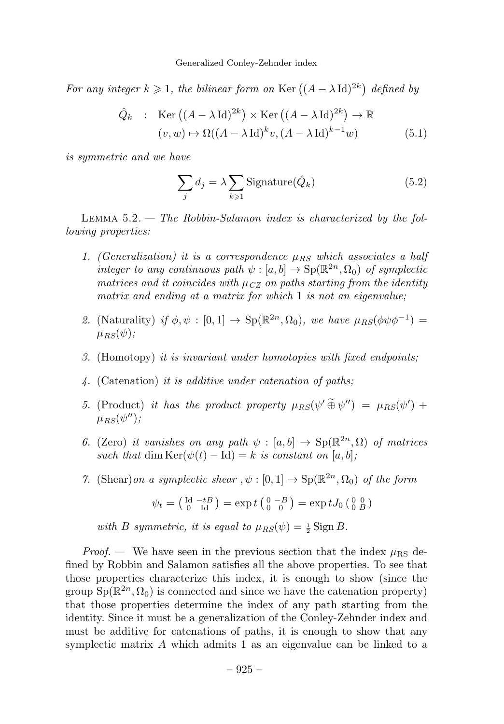For any integer  $k \geqslant 1$ , the bilinear form on Ker  $((A - \lambda \operatorname{Id})^{2k})$  defined by

$$
\hat{Q}_k : \operatorname{Ker} ((A - \lambda \operatorname{Id})^{2k}) \times \operatorname{Ker} ((A - \lambda \operatorname{Id})^{2k}) \to \mathbb{R}
$$
  

$$
(v, w) \mapsto \Omega((A - \lambda \operatorname{Id})^k v, (A - \lambda \operatorname{Id})^{k-1} w)
$$
(5.1)

is symmetric and we have

$$
\sum_{j} d_j = \lambda \sum_{k \ge 1} \text{Signature}(\hat{Q}_k)
$$
\n(5.2)

LEMMA  $5.2.$  — The Robbin-Salamon index is characterized by the following properties:

- 1. (Generalization) it is a correspondence  $\mu_{BS}$  which associates a half integer to any continuous path  $\psi : [a, b] \to \text{Sp}(\mathbb{R}^{2n}, \Omega_0)$  of symplectic matrices and it coincides with  $\mu_{CZ}$  on paths starting from the identity matrix and ending at a matrix for which 1 is not an eigenvalue:
- 2. (Naturality) if  $\phi, \psi : [0, 1] \rightarrow Sp(\mathbb{R}^{2n}, \Omega_0)$ , we have  $\mu_{RS}(\phi \psi \phi^{-1}) =$  $\mu_{BS}(\psi);$
- 3. (Homotopy) it is invariant under homotopies with fixed endpoints;
- 4. (Catenation) it is additive under catenation of paths;
- 5. (Product) it has the product property  $\mu_{RS}(\psi' \oplus \psi'') = \mu_{RS}(\psi') +$  $\mu_{BS}(\psi'')$ ;
- 6. (Zero) it vanishes on any path  $\psi : [a, b] \to \text{Sp}(\mathbb{R}^{2n}, \Omega)$  of matrices such that dim  $\text{Ker}(\psi(t) - \text{Id}) = k$  is constant on [a, b];
- 7. (Shear)on a symplectic shear,  $\psi : [0, 1] \to \text{Sp}(\mathbb{R}^{2n}, \Omega_0)$  of the form

$$
\psi_t = \left(\begin{smallmatrix} \mathrm{Id} & -tB \\ 0 & \mathrm{Id} \end{smallmatrix}\right) = \exp t \left(\begin{smallmatrix} 0 & -B \\ 0 & 0 \end{smallmatrix}\right) = \exp tJ_0 \left(\begin{smallmatrix} 0 & 0 \\ 0 & B \end{smallmatrix}\right)
$$

with B symmetric, it is equal to  $\mu_{RS}(\psi) = \frac{1}{2} \operatorname{Sign} B$ .

*Proof.* — We have seen in the previous section that the index  $\mu_{\rm RS}$  defined by Robbin and Salamon satisfies all the above properties. To see that those properties characterize this index, it is enough to show (since the group  $Sp(\mathbb{R}^{2n}, \Omega_0)$  is connected and since we have the catenation property) that those properties determine the index of any path starting from the identity. Since it must be a generalization of the Conley-Zehnder index and must be additive for catenations of paths, it is enough to show that any symplectic matrix  $A$  which admits 1 as an eigenvalue can be linked to a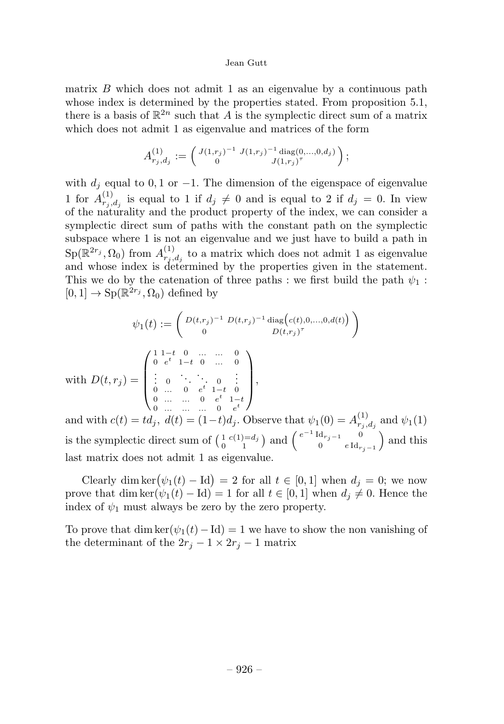matrix  $B$  which does not admit 1 as an eigenvalue by a continuous path whose index is determined by the properties stated. From proposition 5.1, there is a basis of  $\mathbb{R}^{2n}$  such that A is the symplectic direct sum of a matrix which does not admit 1 as eigenvalue and matrices of the form

$$
A_{r_j,d_j}^{(1)} := \begin{pmatrix} J(1,r_j)^{-1} & J(1,r_j)^{-1} \operatorname{diag}(0,\ldots,0,d_j) \\ 0 & J(1,r_j)^{\tau} \end{pmatrix};
$$

with  $d_i$  equal to 0, 1 or −1. The dimension of the eigenspace of eigenvalue 1 for  $A_{r_j,d_j}^{(1)}$  is equal to 1 if  $d_j \neq 0$  and is equal to 2 if  $d_j = 0$ . In view of the naturality and the product property of the index, we can consider a symplectic direct sum of paths with the constant path on the symplectic subspace where 1is not an eigenvalue and we just have to build a path in  $\text{Sp}(\mathbb{R}^{2r_j}, \Omega_0)$  from  $A^{(1)}_{r_j, d_j}$  to a matrix which does not admit 1 as eigenvalue and whose index is determined by the properties given in the statement. This we do by the catenation of three paths : we first build the path  $\psi_1$ :  $[0, 1] \rightarrow Sp(\mathbb{R}^{2r_j}, \Omega_0)$  defined by

$$
\psi_1(t) := \begin{pmatrix} D(t,r_j)^{-1} D(t,r_j)^{-1} \operatorname{diag}(c(t),0,...,0,d(t)) \\ 0 & D(t,r_j)^{\tau} \end{pmatrix}
$$
  
with 
$$
D(t,r_j) = \begin{pmatrix} 1 & 1-t & 0 & ... & ... & 0 \\ 0 & e^t & 1-t & 0 & ... & 0 \\ \vdots & 0 & \ddots & \ddots & 0 & \vdots \\ 0 & ... & 0 & e^t & 1-t & 0 \\ 0 & ... & ... & 0 & e^t \end{pmatrix},
$$

and with  $c(t) = td_j$ ,  $d(t) = (1-t)d_j$ . Observe that  $\psi_1(0) = A_{r_j,d_j}^{(1)}$  and  $\psi_1(1)$ is the symplectic direct sum of  $\begin{pmatrix} 1 & c(1)=d_j \\ 0 & 1 \end{pmatrix}$  and  $\begin{pmatrix} e^{-1} \operatorname{Id}_{r_j-1} & 0 \\ 0 & e \operatorname{Id}_r \end{pmatrix}$ 0 e Id $r_{j-1}$ ) and this last matrix does not admit 1 as eigenvalue.

Clearly dim ker $(\psi_1(t) - \text{Id}) = 2$  for all  $t \in [0, 1]$  when  $d_j = 0$ ; we now prove that dim ker( $\psi_1(t) - \text{Id}$ ) = 1 for all  $t \in [0, 1]$  when  $d_i \neq 0$ . Hence the index of  $\psi_1$  must always be zero by the zero property.

To prove that dim ker( $\psi_1(t) - \text{Id}$ ) = 1 we have to show the non vanishing of the determinant of the  $2r_i - 1 \times 2r_i - 1$  matrix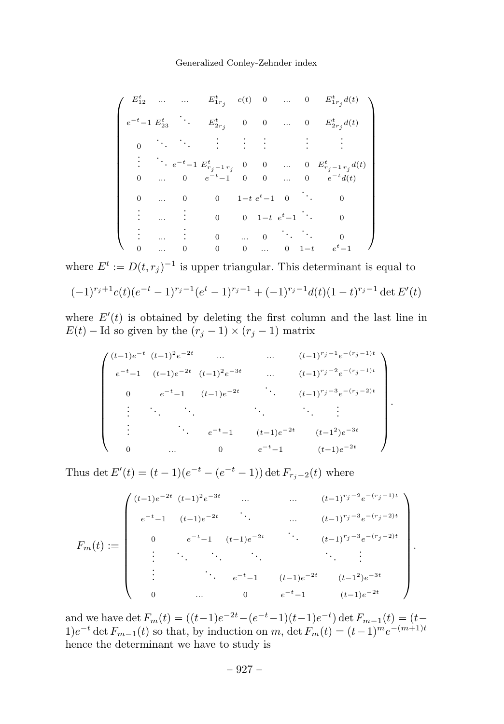#### Generalized Conley-Zehnder index

$$
\left(\begin{array}{ccccccccc} E_{12}^t & \ldots & \ldots & E_{1r_j}^t & c(t) & 0 & \ldots & 0 & E_{1r_j}^t d(t) \\[1mm] e^{-t} - 1 & E_{23}^t & \ddots & E_{2r_j}^t & 0 & 0 & \ldots & 0 & E_{2r_j}^t d(t) \\[1mm] 0 & \ddots & \ddots & \vdots & \vdots & \vdots & \vdots & \vdots & \vdots \\[1mm] \vdots & \ddots & e^{-t} - 1 & E_{r_j - 1r_j}^t & 0 & 0 & \ldots & 0 & E_{r_j - 1r_j}^t d(t) \\[1mm] 0 & \ldots & 0 & e^{-t} - 1 & 0 & 0 & \ldots & 0 & e^{-t} d(t) \\[1mm] 0 & \ldots & 0 & 0 & 1 - t & e^t - 1 & 0 & \ddots & 0 \\[1mm] \vdots & \ldots & \vdots & 0 & \ldots & 0 & 1 - t & e^t - 1 & \ldots & 0 \\[1mm] \vdots & \ldots & \vdots & 0 & \ldots & 0 & \ddots & \ddots & 0 \\[1mm] 0 & \ldots & 0 & 0 & 0 & \ldots & 0 & 1 - t & e^t - 1 \end{array}\right)
$$

where  $E^t := D(t, r_j)^{-1}$  is upper triangular. This determinant is equal to

$$
(-1)^{r_j+1}c(t)(e^{-t}-1)^{r_j-1}(e^t-1)^{r_j-1}+(-1)^{r_j-1}d(t)(1-t)^{r_j-1}\det E'(t)
$$

where  $E'(t)$  is obtained by deleting the first column and the last line in  $E(t)$  – Id so given by the  $(r_j - 1) \times (r_j - 1)$  matrix

$$
\begin{pmatrix}\n(t-1)e^{-t} (t-1)^2 e^{-2t} & \dots & \dots & (t-1)^{r_j-1} e^{-(r_j-1)t} \\
e^{-t} - 1 (t-1)e^{-2t} (t-1)^2 e^{-3t} & \dots & (t-1)^{r_j-2} e^{-(r_j-1)t} \\
0 & e^{-t} - 1 (t-1)e^{-2t} & \dots & (t-1)^{r_j-3} e^{-(r_j-2)t} \\
\vdots & \vdots & \ddots & \vdots \\
e^{-t} - 1 (t-1)e^{-2t} (t-1)^2 e^{-3t} \\
0 & \dots & 0 & e^{-t} - 1 (t-1)e^{-2t}\n\end{pmatrix}
$$

.

Thus det  $E'(t) = (t - 1)(e^{-t} - (e^{-t} - 1)) \det F_{r_j-2}(t)$  where

$$
F_m(t) := \begin{pmatrix} (t-1)e^{-2t} & (t-1)^2e^{-3t} & \dots & (t-1)^{r_j-2}e^{-(r_j-1)t} \\ e^{-t}-1 & (t-1)e^{-2t} & \dots & (t-1)^{r_j-3}e^{-(r_j-2)t} \\ 0 & e^{-t}-1 & (t-1)e^{-2t} & \dots & (t-1)^{r_j-3}e^{-(r_j-2)t} \\ \vdots & \ddots & \ddots & \ddots & \vdots \\ 0 & \dots & 0 & e^{-t}-1 & (t-1)e^{-2t} \\ 0 & \dots & 0 & e^{-t}-1 & (t-1)e^{-2t} \end{pmatrix}.
$$

and we have det  $F_m(t) = ((t-1)e^{-2t} - (e^{-t}-1)(t-1)e^{-t})$  det  $F_{m-1}(t) = (t-1)e^{-t}$  $1)e^{-t}$  det  $F_{m-1}(t)$  so that, by induction on m, det  $F_m(t)=(t-1)^me^{-(m+1)t}$ hence the determinant we have to study is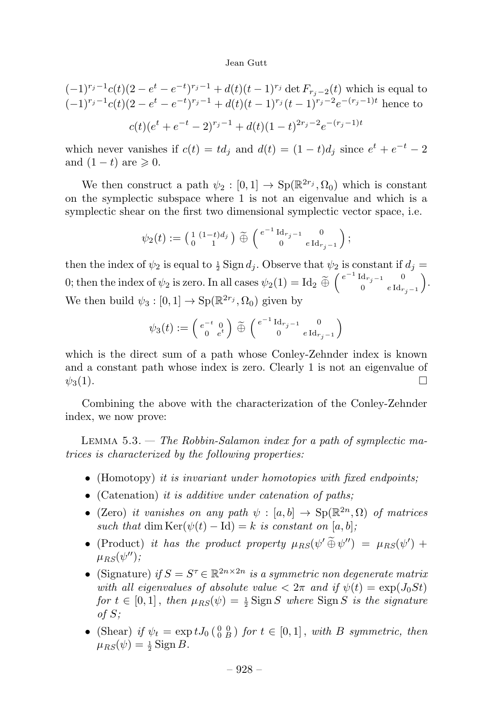$$
(-1)^{r_j-1}c(t)(2 - e^t - e^{-t})^{r_j-1} + d(t)(t - 1)^{r_j} \det F_{r_j-2}(t) \text{ which is equal to}
$$

$$
(-1)^{r_j-1}c(t)(2 - e^t - e^{-t})^{r_j-1} + d(t)(t - 1)^{r_j}(t - 1)^{r_j-2}e^{-(r_j-1)t} \text{ hence to}
$$

$$
c(t)(e^t + e^{-t} - 2)^{r_j-1} + d(t)(1 - t)^{2r_j-2}e^{-(r_j-1)t}
$$

which never vanishes if  $c(t) = td_i$  and  $d(t) = (1-t)d_i$  since  $e^t + e^{-t} - 2$ and  $(1-t)$  are  $\geqslant 0$ .

We then construct a path  $\psi_2 : [0,1] \to \text{Sp}(\mathbb{R}^{2r_j}, \Omega_0)$  which is constant on the symplectic subspace where 1is not an eigenvalue and which is a symplectic shear on the first two dimensional symplectic vector space, i.e.

$$
\psi_2(t) := \left(\begin{smallmatrix} 1 & (1-t)d_j \\ 0 & 1 \end{smallmatrix}\right) \widetilde{\oplus} \left(\begin{smallmatrix} e^{-1} \operatorname{Id}_{r_j-1} & 0 \\ 0 & e \operatorname{Id}_{r_j-1} \end{smallmatrix}\right);
$$

then the index of  $\psi_2$  is equal to  $\frac{1}{2}$  Sign  $d_j$ . Observe that  $\psi_2$  is constant if  $d_j =$ 0; then the index of  $\psi_2$  is zero. In all cases  $\psi_2(1) = \text{Id}_2 \stackrel{\sim}{\oplus} \left( \begin{smallmatrix} e^{-1} \, \text{Id}_{r_j-1} & 0 \ 0 & e \, \text{Id}_r \end{smallmatrix} \right)$ 0  $e \, \mathrm{Id}_{r_j-1}$  . We then build  $\psi_3 : [0, 1] \to \text{Sp}(\mathbb{R}^{2r_j}, \Omega_0)$  given by

$$
\psi_3(t) := \left(\begin{smallmatrix} e^{-t} & 0\\ 0 & e^t \end{smallmatrix}\right) \widetilde{\oplus} \left(\begin{smallmatrix} e^{-1} \operatorname{Id}_{r_j-1} & 0\\ 0 & e \operatorname{Id}_{r_j-1} \end{smallmatrix}\right)
$$

which is the direct sum of a path whose Conley-Zehnder index is known and a constant path whose index is zero. Clearly 1is not an eigenvalue of  $\psi_3(1)$ .

Combining the above with the characterization of the Conley-Zehnder index, we now prove:

LEMMA  $5.3.$  — The Robbin-Salamon index for a path of symplectic matrices is characterized by the following properties:

- (Homotopy) it is invariant under homotopies with fixed endpoints;
- (Catenation) it is additive under catenation of paths;
- (Zero) it vanishes on any path  $\psi : [a, b] \to \text{Sp}(\mathbb{R}^{2n}, \Omega)$  of matrices such that dim Ker( $\psi(t) - \text{Id}$ ) = k is constant on [a, b];
- (Product) it has the product property  $\mu_{RS}(\psi' \oplus \psi'') = \mu_{RS}(\psi') +$  $\mu_{BS}(\psi'')$ ;
- (Signature) if  $S = S^{\tau} \in \mathbb{R}^{2n \times 2n}$  is a symmetric non degenerate matrix with all eigenvalues of absolute value  $\langle 2\pi \rangle$  and if  $\psi(t) = \exp(J_0 St)$ for  $t \in [0,1]$ , then  $\mu_{RS}(\psi) = \frac{1}{2}$  Sign S where Sign S is the signature of S;
- (Shear) if  $\psi_t = \exp tJ_0 \begin{pmatrix} 0 & 0 \\ 0 & B \end{pmatrix}$  for  $t \in [0,1]$ , with B symmetric, then  $\mu_{RS}(\psi) = \frac{1}{2}$  Sign B.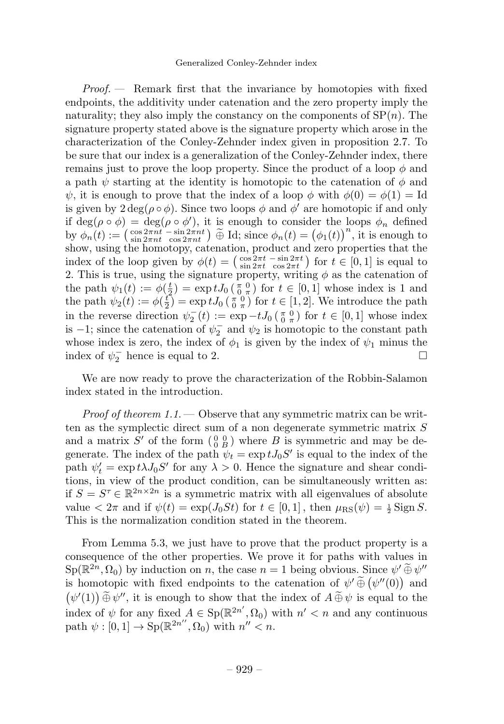$Proof.$  – Remark first that the invariance by homotopies with fixed endpoints, the additivity under catenation and the zero property imply the naturality; they also imply the constancy on the components of  $SP(n)$ . The signature property stated above is the signature property which arose in the characterization of the Conley-Zehnder index given in proposition 2.7. To be sure that our index is a generalization of the Conley-Zehnder index, there remains just to prove the loop property. Since the product of a loop  $\phi$  and a path  $\psi$  starting at the identity is homotopic to the catenation of  $\phi$  and  $\psi$ , it is enough to prove that the index of a loop  $\phi$  with  $\phi(0) = \phi(1) = Id$ is given by  $2 \deg(\rho \circ \phi)$ . Since two loops  $\phi$  and  $\phi'$  are homotopic if and only if  $\deg(\rho \circ \phi) = \deg(\rho \circ \phi')$ , it is enough to consider the loops  $\phi_n$  defined by  $\phi_n(t) := \begin{pmatrix} \cos 2\pi nt - \sin 2\pi nt \\ \sin 2\pi nt & \cos 2\pi nt \end{pmatrix}$   $\widetilde{\oplus}$  Id; since  $\phi_n(t) = (\phi_1(t))^n$ , it is enough to show, using the homotopy, catenation, product and zero properties that the index of the loop given by  $\phi(t) = \begin{pmatrix} \cos 2\pi t & -\sin 2\pi t \\ \sin 2\pi t & \cos 2\pi t \end{pmatrix}$  for  $t \in [0, 1]$  is equal to 2. This is true, using the signature property, writing  $\phi$  as the catenation of the path  $\psi_1(t) := \phi(\frac{t}{2}) = \exp tJ_0(\frac{\pi}{0}\frac{0}{\pi})$  for  $t \in [0,1]$  whose index is 1 and the path  $\psi_2(t) := \phi(\frac{t}{2}) = \exp tJ_0(\frac{\pi}{0}^0)$  for  $t \in [1, 2]$ . We introduce the path in the reverse direction  $\psi_2^-(t) := \exp{-tJ_0(\frac{\pi}{0} \frac{0}{\pi})}$  for  $t \in [0,1]$  whose index is  $-1$ ; since the catenation of  $\psi_2^-$  and  $\psi_2$  is homotopic to the constant path whose index is zero, the index of  $\phi_1$  is given by the index of  $\psi_1$  minus the index of  $\psi_2^-$  hence is equal to 2.

We are now ready to prove the characterization of the Robbin-Salamon index stated in the introduction.

*Proof of theorem*  $1.1$ .  $\sim$  Observe that any symmetric matrix can be written as the symplectic direct sum of a non degenerate symmetric matrix S and a matrix  $S'$  of the form  $\begin{pmatrix} 0 & 0 \\ 0 & B \end{pmatrix}$  where B is symmetric and may be degenerate. The index of the path  $\psi_t = \exp t J_0 S'$  is equal to the index of the path  $\psi'_t = \exp t \lambda J_0 S'$  for any  $\lambda > 0$ . Hence the signature and shear conditions, in view of the product condition, can be simultaneously written as: if  $S = S^{\tau} \in \mathbb{R}^{2n \times 2n}$  is a symmetric matrix with all eigenvalues of absolute value  $\langle 2\pi$  and if  $\psi(t) = \exp(J_0 St)$  for  $t \in [0, 1]$ , then  $\mu_{\rm RS}(\psi) = \frac{1}{2}$  Sign S. This is the normalization condition stated in the theorem.

From Lemma 5.3, we just have to prove that the product property is a consequence of the other properties. We prove it for paths with values in  $Sp(\mathbb{R}^{2n}, \Omega_0)$  by induction on n, the case  $n = 1$  being obvious. Since  $\psi' \widetilde{\oplus} \psi''$ is homotopic with fixed endpoints to the catenation of  $\psi' \tilde{\oplus} (\psi''(0))$  and  $(\psi'(1)) \tilde{\oplus} \psi''$ , it is enough to show that the index of  $A \tilde{\oplus} \psi$  is equal to the index of  $\psi$  for any fixed  $A \in \text{Sp}(\mathbb{R}^{2n'}, \Omega_0)$  with  $n' < n$  and any continuous path  $\psi : [0, 1] \to \text{Sp}(\mathbb{R}^{2n''}, \Omega_0)$  with  $n'' < n$ .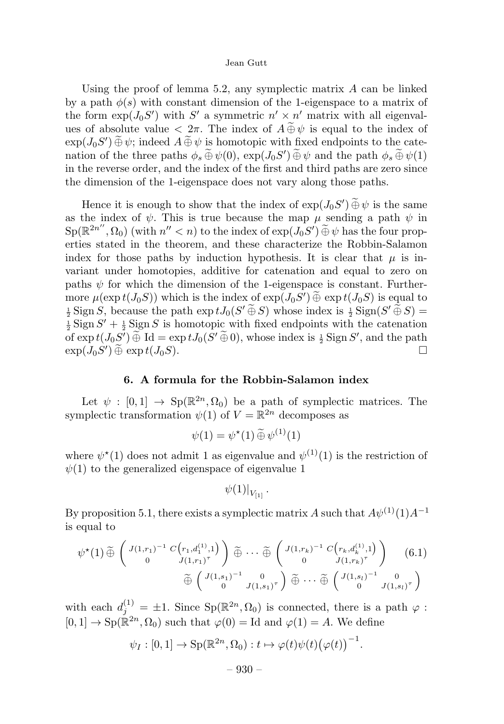Using the proof of lemma 5.2, any symplectic matrix  $A$  can be linked by a path  $\phi(s)$  with constant dimension of the 1-eigenspace to a matrix of the form  $\exp(J_0S')$  with S' a symmetric  $n' \times n'$  matrix with all eigenvalues of absolute value  $\langle 2\pi$ . The index of  $A \widetilde{\oplus} \psi$  is equal to the index of  $\exp(J_0S') \oplus \psi$ ; indeed  $A \oplus \psi$  is homotopic with fixed endpoints to the catenation of the three paths  $\phi_s \oplus \psi(0)$ ,  $\exp(J_0S') \oplus \psi$  and the path  $\phi_s \oplus \psi(1)$ in the reverse order, and the index of the first and third paths are zero since the dimension of the 1-eigenspace does not vary along those paths.

Hence it is enough to show that the index of  $exp(J_0S') \oplus \psi$  is the same as the index of  $\psi$ . This is true because the map  $\mu$  sending a path  $\psi$  in  $\text{Sp}(\mathbb{R}^{2n''}, \Omega_0)$  (with  $n'' < n$ ) to the index of  $\exp(J_0S') \,\widetilde{\oplus}\,\psi$  has the four properties stated in the theorem, and these characterize the Robbin-Salamon index for those paths by induction hypothesis. It is clear that  $\mu$  is invariant under homotopies, additive for catenation and equal to zero on paths  $\psi$  for which the dimension of the 1-eigenspace is constant. Furthermore  $\mu(\exp t(J_0S))$  which is the index of  $\exp(J_0S') \oplus \exp t(J_0S)$  is equal to  $\pm$  Sion  $S$  because the path  $\exp tJ_0(S' \widetilde{\oplus} S)$  whose index is  $\pm$  Sion  $S' \widetilde{\oplus} S$  =  $\frac{1}{2}$  Sign S, because the path  $\exp tJ_0(S' \oplus S)$  whose index is  $\frac{1}{2}$  Sign( $S' \oplus S$ ) =  $\frac{1}{2}$  Sign  $S' + 1$  Sign S is homotopic with fixed endpoints with the catenation  $\frac{1}{2}$  Sign  $S' + \frac{1}{2}$  Sign S is homotopic with fixed endpoints with the catenation of  $\exp t(J_0S')\oplus \text{Id} = \exp tJ_0(S'\oplus 0)$ , whose index is  $\frac{1}{2}$  Sign S', and the path  $\exp(J_0S')\oplus \exp t(J_0S).$ 

## 6. A formula for the Robbin-Salamon index

Let  $\psi : [0, 1] \rightarrow Sp(\mathbb{R}^{2n}, \Omega_0)$  be a path of symplectic matrices. The symplectic transformation  $\psi(1)$  of  $V = \mathbb{R}^{2n}$  decomposes as

$$
\psi(1) = \psi^*(1) \widetilde{\oplus} \psi^{(1)}(1)
$$

where  $\psi^*(1)$  does not admit 1 as eigenvalue and  $\psi^{(1)}(1)$  is the restriction of  $\psi(1)$  to the generalized eigenspace of eigenvalue 1

$$
\psi(1)|_{V_{[1]}}
$$
.

By proposition 5.1, there exists a symplectic matrix A such that  $A\psi^{(1)}(1)A^{-1}$ is equal to

$$
\psi^{\star}(1) \widetilde{\oplus} \begin{pmatrix} J(1,r_1)^{-1} & C(r_1,d_1^{(1)},1) \\ 0 & J(1,r_1)^{\tau} \end{pmatrix} \widetilde{\oplus} \cdots \widetilde{\oplus} \begin{pmatrix} J(1,r_k)^{-1} & C(r_k,d_k^{(1)},1) \\ 0 & J(1,r_k)^{\tau} \end{pmatrix} \qquad (6.1)
$$

$$
\widetilde{\oplus} \begin{pmatrix} J(1,s_1)^{-1} & 0 \\ 0 & J(1,s_1)^{\tau} \end{pmatrix} \widetilde{\oplus} \cdots \widetilde{\oplus} \begin{pmatrix} J(1,s_l)^{-1} & 0 \\ 0 & J(1,s_l)^{\tau} \end{pmatrix}
$$

with each  $d_j^{(1)} = \pm 1$ . Since  $Sp(\mathbb{R}^{2n}, \Omega_0)$  is connected, there is a path  $\varphi$ :  $[0, 1] \rightarrow Sp(\mathbb{R}^{2n}, \Omega_0)$  such that  $\varphi(0) = \text{Id}$  and  $\varphi(1) = A$ . We define

$$
\psi_I : [0,1] \to \mathrm{Sp}(\mathbb{R}^{2n}, \Omega_0) : t \mapsto \varphi(t)\psi(t) (\varphi(t))^{-1}
$$

.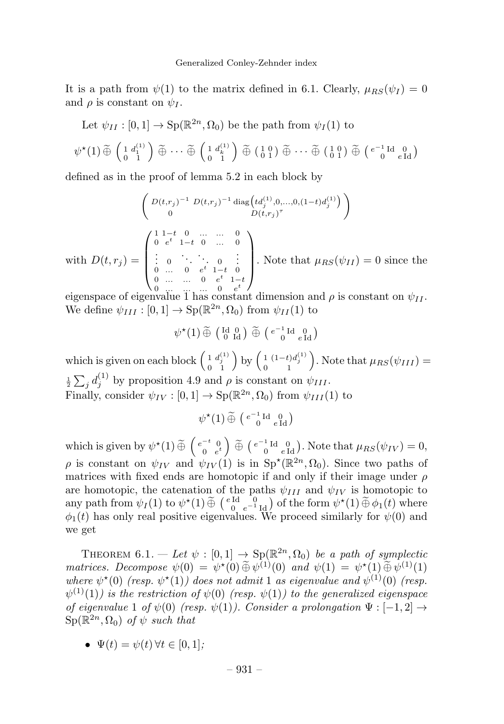It is a path from  $\psi(1)$  to the matrix defined in 6.1. Clearly,  $\mu_{RS}(\psi_I) = 0$ and  $\rho$  is constant on  $\psi_I$ .

Let  $\psi_{II}: [0, 1] \to \text{Sp}(\mathbb{R}^{2n}, \Omega_0)$  be the path from  $\psi_I(1)$  to

$$
\psi^{\star}(1) \widetilde{\oplus} \begin{pmatrix} 1 & d_1^{(1)} \\ 0 & 1 \end{pmatrix} \widetilde{\oplus} \cdots \widetilde{\oplus} \begin{pmatrix} 1 & d_k^{(1)} \\ 0 & 1 \end{pmatrix} \widetilde{\oplus} \begin{pmatrix} 1 & 0 \\ 0 & 1 \end{pmatrix} \widetilde{\oplus} \cdots \widetilde{\oplus} \begin{pmatrix} 1 & 0 \\ 0 & 1 \end{pmatrix} \widetilde{\oplus} \begin{pmatrix} e^{-1} \operatorname{Id} & 0 \\ 0 & e \operatorname{Id} \end{pmatrix}
$$

defined as in the proof of lemma 5.2 in each block by

$$
\begin{pmatrix}\nD(t,r_j)^{-1} D(t,r_j)^{-1} \operatorname{diag}\left(t d_j^{(1)}, 0, ..., 0, (1-t) d_j^{(1)}\right) \\
0 & D(t,r_j)^{\tau}\n\end{pmatrix}
$$
\nwith 
$$
D(t,r_j) = \begin{pmatrix}\n1 & -t & 0 & \dots & 0 \\
0 & e^t & 1-t & 0 & \dots & 0 \\
\vdots & 0 & \ddots & \ddots & 0 & \vdots \\
0 & \dots & 0 & e^t & 1-t \\
0 & \dots & \dots & 0 & e^t\n\end{pmatrix}
$$
. Note that  $\mu_{RS}(\psi_{II}) = 0$  since the

eigenspace of eigenvalue 1 has constant dimension and  $\rho$  is constant on  $\psi_{II}$ . We define  $\psi_{III} : [0, 1] \rightarrow Sp(\mathbb{R}^{2n}, \Omega_0)$  from  $\psi_{II}(1)$  to

$$
\psi^{\star}(1) \widetilde{\oplus} \left( \begin{smallmatrix} \mathrm{Id} & 0 \\ 0 & \mathrm{Id} \end{smallmatrix} \right) \widetilde{\oplus} \left( \begin{smallmatrix} e^{-1} \mathrm{Id} & 0 \\ 0 & e \mathrm{Id} \end{smallmatrix} \right)
$$

which is given on each block  $\begin{pmatrix} 1 & d_j^{(1)} \\ 0 & 1 \end{pmatrix}$  by  $\begin{pmatrix} 1 & (1-t)d_j^{(1)} \\ 0 & 1 \end{pmatrix}$ . Note that  $\mu_{RS}(\psi_{III}) =$  $\frac{1}{2}\sum_{j}d_j^{(1)}$  by proposition 4.9 and  $\rho$  is constant on  $\psi_{III}$ . Finally, consider  $\psi_{IV} : [0, 1] \to \text{Sp}(\mathbb{R}^{2n}, \Omega_0)$  from  $\psi_{III}(1)$  to

$$
\psi^\star(1)\,\widetilde{\oplus}\,\left(\begin{smallmatrix} e^{-1}\operatorname{Id} & 0 \\ 0 & e\operatorname{Id} \end{smallmatrix}\right)
$$

which is given by  $\psi^*(1) \widetilde{\oplus} \begin{pmatrix} e^{-t} & 0 \\ 0 & e^{t} \end{pmatrix}$  $\left( \begin{smallmatrix} e^{-1} \ 0 \end{smallmatrix} \right]^{d}$  e<sup>-1</sup> Id<sub>e</sub> Id<sub>e</sub>). Note that  $\mu_{RS}(\psi_{IV}) = 0$ ,  $\rho$  is constant on  $\psi_{IV}$  and  $\psi_{IV}(1)$  is in  $Sp^{\star}(\mathbb{R}^{2n}, \Omega_0)$ . Since two paths of matrices with fixed ends are homotopic if and only if their image under  $\rho$ are homotopic, the catenation of the paths  $\psi_{III}$  and  $\psi_{IV}$  is homotopic to any path from  $\psi_I(1)$  to  $\psi^*(1) \tilde{\oplus}$   $\begin{pmatrix} e \operatorname{Id} & 0 \\ 0 & e^{-1} \operatorname{Id} \end{pmatrix}$  of the form  $\psi^*(1) \tilde{\oplus} \phi_1(t)$  where  $\phi_1(t)$  has only real positive eigenvalues. We proceed similarly for  $\psi(0)$  and we get

THEOREM 6.1. — Let  $\psi : [0,1] \to \text{Sp}(\mathbb{R}^{2n}, \Omega_0)$  be a path of symplectic matrices. Decompose  $\psi(0) = \psi^*(0) \widetilde{\oplus} \psi^{(1)}(0)$  and  $\psi(1) = \psi^*(1) \widetilde{\oplus} \psi^{(1)}(1)$ where  $\psi^*(0)$  (resp.  $\psi^*(1)$ ) does not admit 1 as eigenvalue and  $\psi^{(1)}(0)$  (resp.  $\psi^{(1)}(1)$ ) is the restriction of  $\psi(0)$  (resp.  $\psi(1)$ ) to the generalized eigenspace of eigenvalue 1 of  $\psi(0)$  (resp.  $\psi(1)$ ). Consider a prolongation  $\Psi: [-1, 2] \rightarrow$  $\text{Sp}(\mathbb{R}^{2n}, \Omega_0)$  of  $\psi$  such that

• 
$$
\Psi(t) = \psi(t) \,\forall t \in [0, 1];
$$